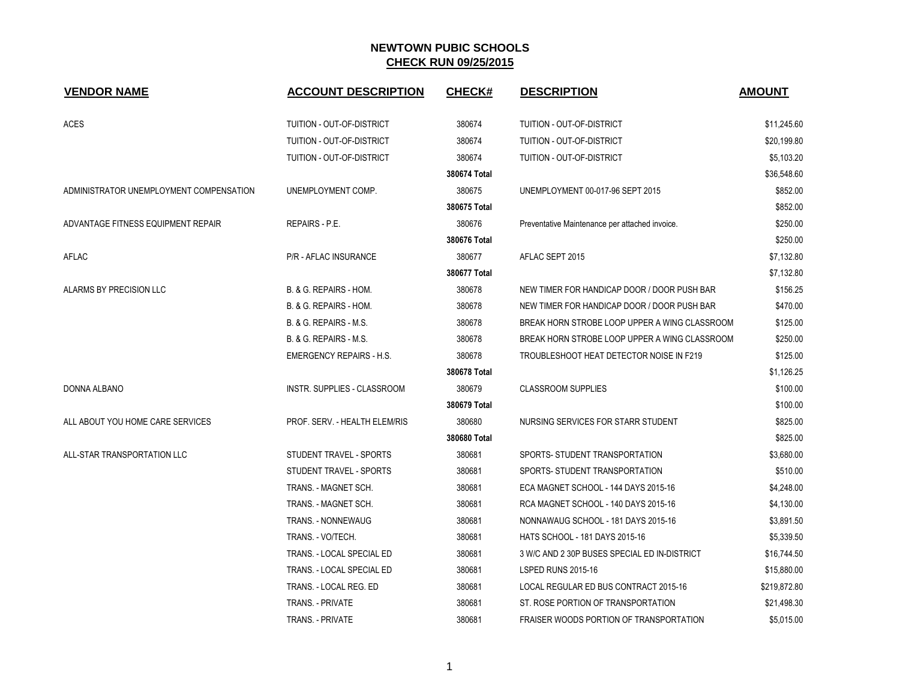| <b>VENDOR NAME</b>                      | <b>ACCOUNT DESCRIPTION</b>      | <b>CHECK#</b> | <b>DESCRIPTION</b>                             | <b>AMOUNT</b> |
|-----------------------------------------|---------------------------------|---------------|------------------------------------------------|---------------|
| <b>ACES</b>                             | TUITION - OUT-OF-DISTRICT       | 380674        | TUITION - OUT-OF-DISTRICT                      | \$11,245.60   |
|                                         | TUITION - OUT-OF-DISTRICT       | 380674        | TUITION - OUT-OF-DISTRICT                      | \$20,199.80   |
|                                         | TUITION - OUT-OF-DISTRICT       | 380674        | TUITION - OUT-OF-DISTRICT                      | \$5,103.20    |
|                                         |                                 | 380674 Total  |                                                | \$36,548.60   |
| ADMINISTRATOR UNEMPLOYMENT COMPENSATION | UNEMPLOYMENT COMP.              | 380675        | UNEMPLOYMENT 00-017-96 SEPT 2015               | \$852.00      |
|                                         |                                 | 380675 Total  |                                                | \$852.00      |
| ADVANTAGE FITNESS EQUIPMENT REPAIR      | REPAIRS - P.E.                  | 380676        | Preventative Maintenance per attached invoice. | \$250.00      |
|                                         |                                 | 380676 Total  |                                                | \$250.00      |
| AFLAC                                   | <b>P/R - AFLAC INSURANCE</b>    | 380677        | AFLAC SEPT 2015                                | \$7,132.80    |
|                                         |                                 | 380677 Total  |                                                | \$7,132.80    |
| ALARMS BY PRECISION LLC                 | B. & G. REPAIRS - HOM.          | 380678        | NEW TIMER FOR HANDICAP DOOR / DOOR PUSH BAR    | \$156.25      |
|                                         | B. & G. REPAIRS - HOM.          | 380678        | NEW TIMER FOR HANDICAP DOOR / DOOR PUSH BAR    | \$470.00      |
|                                         | B. & G. REPAIRS - M.S.          | 380678        | BREAK HORN STROBE LOOP UPPER A WING CLASSROOM  | \$125.00      |
|                                         | B. & G. REPAIRS - M.S.          | 380678        | BREAK HORN STROBE LOOP UPPER A WING CLASSROOM  | \$250.00      |
|                                         | <b>EMERGENCY REPAIRS - H.S.</b> | 380678        | TROUBLESHOOT HEAT DETECTOR NOISE IN F219       | \$125.00      |
|                                         |                                 | 380678 Total  |                                                | \$1,126.25    |
| DONNA ALBANO                            | INSTR. SUPPLIES - CLASSROOM     | 380679        | <b>CLASSROOM SUPPLIES</b>                      | \$100.00      |
|                                         |                                 | 380679 Total  |                                                | \$100.00      |
| ALL ABOUT YOU HOME CARE SERVICES        | PROF. SERV. - HEALTH ELEM/RIS   | 380680        | NURSING SERVICES FOR STARR STUDENT             | \$825.00      |
|                                         |                                 | 380680 Total  |                                                | \$825.00      |
| ALL-STAR TRANSPORTATION LLC             | STUDENT TRAVEL - SPORTS         | 380681        | SPORTS- STUDENT TRANSPORTATION                 | \$3,680.00    |
|                                         | STUDENT TRAVEL - SPORTS         | 380681        | SPORTS- STUDENT TRANSPORTATION                 | \$510.00      |
|                                         | TRANS. - MAGNET SCH.            | 380681        | ECA MAGNET SCHOOL - 144 DAYS 2015-16           | \$4,248.00    |
|                                         | TRANS. - MAGNET SCH.            | 380681        | RCA MAGNET SCHOOL - 140 DAYS 2015-16           | \$4,130.00    |
|                                         | <b>TRANS. - NONNEWAUG</b>       | 380681        | NONNAWAUG SCHOOL - 181 DAYS 2015-16            | \$3,891.50    |
|                                         | TRANS. - VO/TECH.               | 380681        | HATS SCHOOL - 181 DAYS 2015-16                 | \$5,339.50    |
|                                         | TRANS. - LOCAL SPECIAL ED       | 380681        | 3 W/C AND 2 30P BUSES SPECIAL ED IN-DISTRICT   | \$16,744.50   |
|                                         | TRANS. - LOCAL SPECIAL ED       | 380681        | <b>LSPED RUNS 2015-16</b>                      | \$15,880.00   |
|                                         | TRANS. - LOCAL REG. ED          | 380681        | LOCAL REGULAR ED BUS CONTRACT 2015-16          | \$219,872.80  |
|                                         | <b>TRANS. - PRIVATE</b>         | 380681        | ST. ROSE PORTION OF TRANSPORTATION             | \$21,498.30   |
|                                         | <b>TRANS. - PRIVATE</b>         | 380681        | FRAISER WOODS PORTION OF TRANSPORTATION        | \$5,015.00    |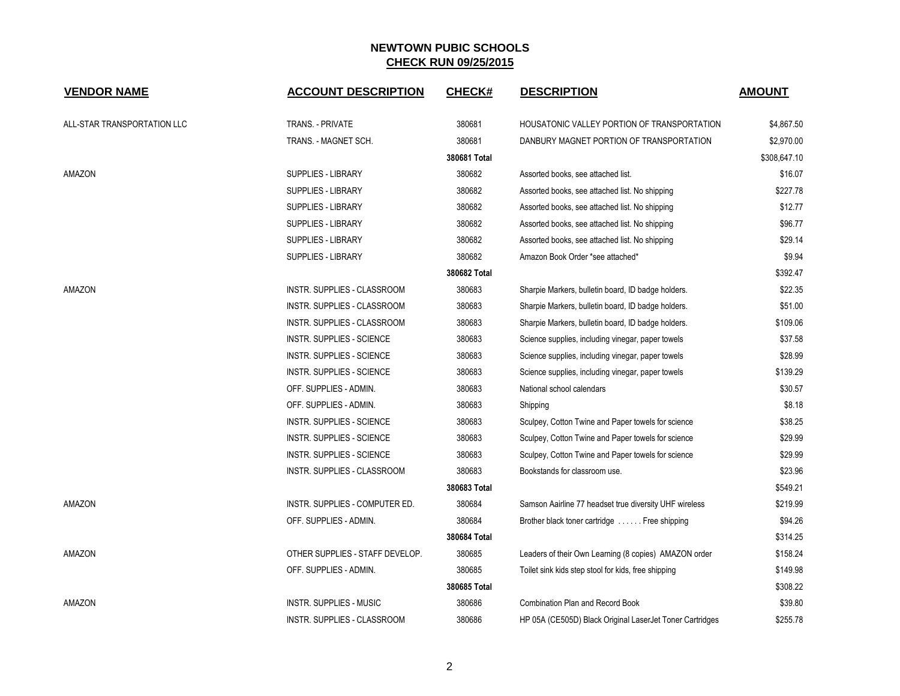| <b>VENDOR NAME</b>          | <b>ACCOUNT DESCRIPTION</b>       | <b>CHECK#</b> | <b>DESCRIPTION</b>                                       | <b>AMOUNT</b> |
|-----------------------------|----------------------------------|---------------|----------------------------------------------------------|---------------|
| ALL-STAR TRANSPORTATION LLC | TRANS. - PRIVATE                 | 380681        | HOUSATONIC VALLEY PORTION OF TRANSPORTATION              | \$4,867.50    |
|                             | TRANS. - MAGNET SCH.             | 380681        | DANBURY MAGNET PORTION OF TRANSPORTATION                 | \$2,970.00    |
|                             |                                  | 380681 Total  |                                                          | \$308,647.10  |
| AMAZON                      | <b>SUPPLIES - LIBRARY</b>        | 380682        | Assorted books, see attached list.                       | \$16.07       |
|                             | <b>SUPPLIES - LIBRARY</b>        | 380682        | Assorted books, see attached list. No shipping           | \$227.78      |
|                             | <b>SUPPLIES - LIBRARY</b>        | 380682        | Assorted books, see attached list. No shipping           | \$12.77       |
|                             | <b>SUPPLIES - LIBRARY</b>        | 380682        | Assorted books, see attached list. No shipping           | \$96.77       |
|                             | <b>SUPPLIES - LIBRARY</b>        | 380682        | Assorted books, see attached list. No shipping           | \$29.14       |
|                             | <b>SUPPLIES - LIBRARY</b>        | 380682        | Amazon Book Order *see attached*                         | \$9.94        |
|                             |                                  | 380682 Total  |                                                          | \$392.47      |
| AMAZON                      | INSTR. SUPPLIES - CLASSROOM      | 380683        | Sharpie Markers, bulletin board, ID badge holders.       | \$22.35       |
|                             | INSTR. SUPPLIES - CLASSROOM      | 380683        | Sharpie Markers, bulletin board, ID badge holders.       | \$51.00       |
|                             | INSTR. SUPPLIES - CLASSROOM      | 380683        | Sharpie Markers, bulletin board, ID badge holders.       | \$109.06      |
|                             | <b>INSTR. SUPPLIES - SCIENCE</b> | 380683        | Science supplies, including vinegar, paper towels        | \$37.58       |
|                             | INSTR. SUPPLIES - SCIENCE        | 380683        | Science supplies, including vinegar, paper towels        | \$28.99       |
|                             | <b>INSTR. SUPPLIES - SCIENCE</b> | 380683        | Science supplies, including vinegar, paper towels        | \$139.29      |
|                             | OFF. SUPPLIES - ADMIN.           | 380683        | National school calendars                                | \$30.57       |
|                             | OFF. SUPPLIES - ADMIN.           | 380683        | Shipping                                                 | \$8.18        |
|                             | INSTR. SUPPLIES - SCIENCE        | 380683        | Sculpey, Cotton Twine and Paper towels for science       | \$38.25       |
|                             | INSTR. SUPPLIES - SCIENCE        | 380683        | Sculpey, Cotton Twine and Paper towels for science       | \$29.99       |
|                             | <b>INSTR. SUPPLIES - SCIENCE</b> | 380683        | Sculpey, Cotton Twine and Paper towels for science       | \$29.99       |
|                             | INSTR. SUPPLIES - CLASSROOM      | 380683        | Bookstands for classroom use.                            | \$23.96       |
|                             |                                  | 380683 Total  |                                                          | \$549.21      |
| AMAZON                      | INSTR. SUPPLIES - COMPUTER ED.   | 380684        | Samson Aairline 77 headset true diversity UHF wireless   | \$219.99      |
|                             | OFF. SUPPLIES - ADMIN.           | 380684        | Brother black toner cartridge  Free shipping             | \$94.26       |
|                             |                                  | 380684 Total  |                                                          | \$314.25      |
| AMAZON                      | OTHER SUPPLIES - STAFF DEVELOP.  | 380685        | Leaders of their Own Learning (8 copies) AMAZON order    | \$158.24      |
|                             | OFF. SUPPLIES - ADMIN.           | 380685        | Toilet sink kids step stool for kids, free shipping      | \$149.98      |
|                             |                                  | 380685 Total  |                                                          | \$308.22      |
| AMAZON                      | INSTR. SUPPLIES - MUSIC          | 380686        | <b>Combination Plan and Record Book</b>                  | \$39.80       |
|                             | INSTR. SUPPLIES - CLASSROOM      | 380686        | HP 05A (CE505D) Black Original LaserJet Toner Cartridges | \$255.78      |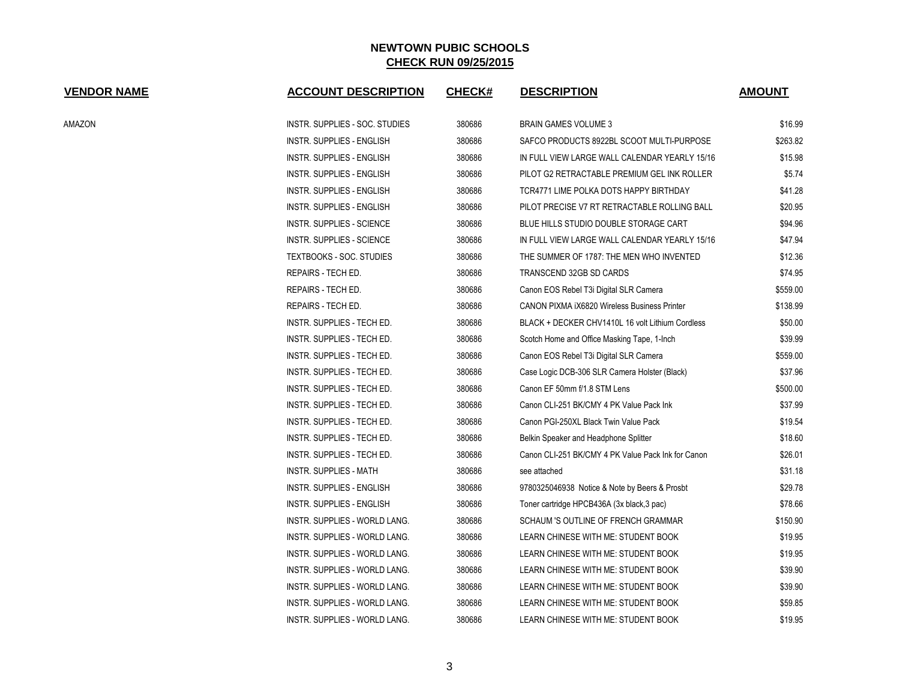| <b>VENDOR NAME</b> | <b>ACCOUNT DESCRIPTION</b>           | <b>CHECK#</b> | <b>DESCRIPTION</b>                                 | <b>AMOUNT</b> |
|--------------------|--------------------------------------|---------------|----------------------------------------------------|---------------|
| AMAZON             | INSTR. SUPPLIES - SOC. STUDIES       | 380686        | <b>BRAIN GAMES VOLUME 3</b>                        | \$16.99       |
|                    | INSTR. SUPPLIES - ENGLISH            | 380686        | SAFCO PRODUCTS 8922BL SCOOT MULTI-PURPOSE          | \$263.82      |
|                    | INSTR. SUPPLIES - ENGLISH            | 380686        | IN FULL VIEW LARGE WALL CALENDAR YEARLY 15/16      | \$15.98       |
|                    | <b>INSTR. SUPPLIES - ENGLISH</b>     | 380686        | PILOT G2 RETRACTABLE PREMIUM GEL INK ROLLER        | \$5.74        |
|                    | INSTR. SUPPLIES - ENGLISH            | 380686        | TCR4771 LIME POLKA DOTS HAPPY BIRTHDAY             | \$41.28       |
|                    | INSTR. SUPPLIES - ENGLISH            | 380686        | PILOT PRECISE V7 RT RETRACTABLE ROLLING BALL       | \$20.95       |
|                    | INSTR. SUPPLIES - SCIENCE            | 380686        | BLUE HILLS STUDIO DOUBLE STORAGE CART              | \$94.96       |
|                    | INSTR. SUPPLIES - SCIENCE            | 380686        | IN FULL VIEW LARGE WALL CALENDAR YEARLY 15/16      | \$47.94       |
|                    | <b>TEXTBOOKS - SOC. STUDIES</b>      | 380686        | THE SUMMER OF 1787: THE MEN WHO INVENTED           | \$12.36       |
|                    | REPAIRS - TECH ED.                   | 380686        | TRANSCEND 32GB SD CARDS                            | \$74.95       |
|                    | REPAIRS - TECH ED.                   | 380686        | Canon EOS Rebel T3i Digital SLR Camera             | \$559.00      |
|                    | REPAIRS - TECH ED.                   | 380686        | CANON PIXMA iX6820 Wireless Business Printer       | \$138.99      |
|                    | INSTR. SUPPLIES - TECH ED.           | 380686        | BLACK + DECKER CHV1410L 16 volt Lithium Cordless   | \$50.00       |
|                    | INSTR. SUPPLIES - TECH ED.           | 380686        | Scotch Home and Office Masking Tape, 1-Inch        | \$39.99       |
|                    | INSTR. SUPPLIES - TECH ED.           | 380686        | Canon EOS Rebel T3i Digital SLR Camera             | \$559.00      |
|                    | INSTR. SUPPLIES - TECH ED.           | 380686        | Case Logic DCB-306 SLR Camera Holster (Black)      | \$37.96       |
|                    | INSTR. SUPPLIES - TECH ED.           | 380686        | Canon EF 50mm f/1.8 STM Lens                       | \$500.00      |
|                    | INSTR. SUPPLIES - TECH ED.           | 380686        | Canon CLI-251 BK/CMY 4 PK Value Pack Ink           | \$37.99       |
|                    | <b>INSTR. SUPPLIES - TECH ED.</b>    | 380686        | Canon PGI-250XL Black Twin Value Pack              | \$19.54       |
|                    | INSTR. SUPPLIES - TECH ED.           | 380686        | Belkin Speaker and Headphone Splitter              | \$18.60       |
|                    | INSTR. SUPPLIES - TECH ED.           | 380686        | Canon CLI-251 BK/CMY 4 PK Value Pack Ink for Canon | \$26.01       |
|                    | <b>INSTR. SUPPLIES - MATH</b>        | 380686        | see attached                                       | \$31.18       |
|                    | INSTR. SUPPLIES - ENGLISH            | 380686        | 9780325046938 Notice & Note by Beers & Prosbt      | \$29.78       |
|                    | INSTR. SUPPLIES - ENGLISH            | 380686        | Toner cartridge HPCB436A (3x black, 3 pac)         | \$78.66       |
|                    | INSTR. SUPPLIES - WORLD LANG.        | 380686        | SCHAUM 'S OUTLINE OF FRENCH GRAMMAR                | \$150.90      |
|                    | INSTR. SUPPLIES - WORLD LANG.        | 380686        | LEARN CHINESE WITH ME: STUDENT BOOK                | \$19.95       |
|                    | INSTR. SUPPLIES - WORLD LANG.        | 380686        | LEARN CHINESE WITH ME: STUDENT BOOK                | \$19.95       |
|                    | INSTR. SUPPLIES - WORLD LANG.        | 380686        | LEARN CHINESE WITH ME: STUDENT BOOK                | \$39.90       |
|                    | INSTR. SUPPLIES - WORLD LANG.        | 380686        | LEARN CHINESE WITH ME: STUDENT BOOK                | \$39.90       |
|                    | <b>INSTR. SUPPLIES - WORLD LANG.</b> | 380686        | LEARN CHINESE WITH ME: STUDENT BOOK                | \$59.85       |
|                    | <b>INSTR. SUPPLIES - WORLD LANG.</b> | 380686        | LEARN CHINESE WITH ME: STUDENT BOOK                | \$19.95       |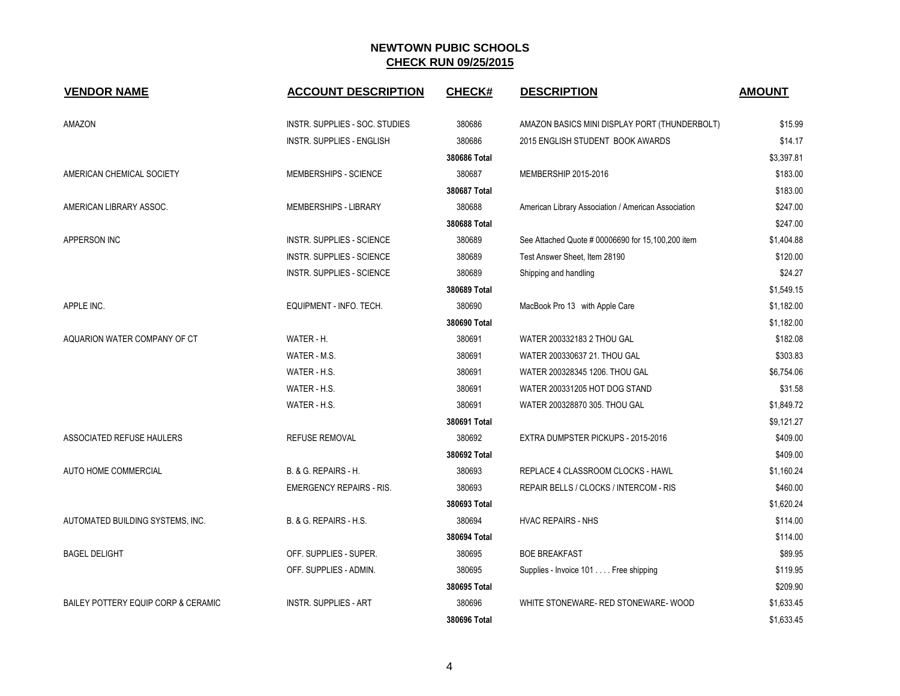| <b>VENDOR NAME</b>                  | <b>ACCOUNT DESCRIPTION</b>       | <b>CHECK#</b> | <b>DESCRIPTION</b>                                  | <b>AMOUNT</b> |
|-------------------------------------|----------------------------------|---------------|-----------------------------------------------------|---------------|
| AMAZON                              | INSTR. SUPPLIES - SOC. STUDIES   | 380686        | AMAZON BASICS MINI DISPLAY PORT (THUNDERBOLT)       | \$15.99       |
|                                     | <b>INSTR. SUPPLIES - ENGLISH</b> | 380686        | 2015 ENGLISH STUDENT BOOK AWARDS                    | \$14.17       |
|                                     |                                  | 380686 Total  |                                                     | \$3,397.81    |
| AMERICAN CHEMICAL SOCIETY           | MEMBERSHIPS - SCIENCE            | 380687        | MEMBERSHIP 2015-2016                                | \$183.00      |
|                                     |                                  | 380687 Total  |                                                     | \$183.00      |
| AMERICAN LIBRARY ASSOC.             | MEMBERSHIPS - LIBRARY            | 380688        | American Library Association / American Association | \$247.00      |
|                                     |                                  | 380688 Total  |                                                     | \$247.00      |
| APPERSON INC                        | <b>INSTR. SUPPLIES - SCIENCE</b> | 380689        | See Attached Quote # 00006690 for 15,100,200 item   | \$1,404.88    |
|                                     | <b>INSTR. SUPPLIES - SCIENCE</b> | 380689        | Test Answer Sheet, Item 28190                       | \$120.00      |
|                                     | <b>INSTR. SUPPLIES - SCIENCE</b> | 380689        | Shipping and handling                               | \$24.27       |
|                                     |                                  | 380689 Total  |                                                     | \$1,549.15    |
| APPLE INC.                          | EQUIPMENT - INFO. TECH.          | 380690        | MacBook Pro 13 with Apple Care                      | \$1,182.00    |
|                                     |                                  | 380690 Total  |                                                     | \$1,182.00    |
| AQUARION WATER COMPANY OF CT        | WATER - H.                       | 380691        | WATER 200332183 2 THOU GAL                          | \$182.08      |
|                                     | WATER - M.S.                     | 380691        | WATER 200330637 21. THOU GAL                        | \$303.83      |
|                                     | WATER - H.S.                     | 380691        | WATER 200328345 1206. THOU GAL                      | \$6,754.06    |
|                                     | WATER - H.S.                     | 380691        | WATER 200331205 HOT DOG STAND                       | \$31.58       |
|                                     | WATER - H.S.                     | 380691        | WATER 200328870 305. THOU GAL                       | \$1,849.72    |
|                                     |                                  | 380691 Total  |                                                     | \$9,121.27    |
| ASSOCIATED REFUSE HAULERS           | <b>REFUSE REMOVAL</b>            | 380692        | EXTRA DUMPSTER PICKUPS - 2015-2016                  | \$409.00      |
|                                     |                                  | 380692 Total  |                                                     | \$409.00      |
| AUTO HOME COMMERCIAL                | B. & G. REPAIRS - H.             | 380693        | REPLACE 4 CLASSROOM CLOCKS - HAWL                   | \$1,160.24    |
|                                     | <b>EMERGENCY REPAIRS - RIS.</b>  | 380693        | REPAIR BELLS / CLOCKS / INTERCOM - RIS              | \$460.00      |
|                                     |                                  | 380693 Total  |                                                     | \$1,620.24    |
| AUTOMATED BUILDING SYSTEMS, INC.    | B. & G. REPAIRS - H.S.           | 380694        | <b>HVAC REPAIRS - NHS</b>                           | \$114.00      |
|                                     |                                  | 380694 Total  |                                                     | \$114.00      |
| <b>BAGEL DELIGHT</b>                | OFF. SUPPLIES - SUPER.           | 380695        | <b>BOE BREAKFAST</b>                                | \$89.95       |
|                                     | OFF. SUPPLIES - ADMIN.           | 380695        | Supplies - Invoice 101 Free shipping                | \$119.95      |
|                                     |                                  | 380695 Total  |                                                     | \$209.90      |
| BAILEY POTTERY EQUIP CORP & CERAMIC | <b>INSTR. SUPPLIES - ART</b>     | 380696        | WHITE STONEWARE- RED STONEWARE- WOOD                | \$1,633.45    |
|                                     |                                  | 380696 Total  |                                                     | \$1,633.45    |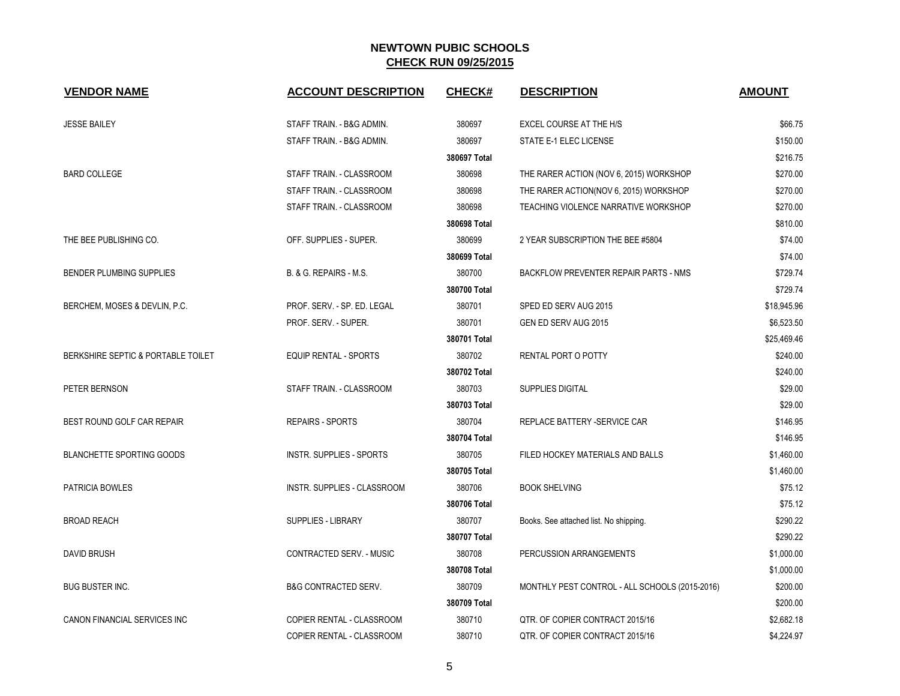| <b>VENDOR NAME</b>                 | <b>ACCOUNT DESCRIPTION</b>      | <b>CHECK#</b> | <b>DESCRIPTION</b>                             | <b>AMOUNT</b> |
|------------------------------------|---------------------------------|---------------|------------------------------------------------|---------------|
| <b>JESSE BAILEY</b>                | STAFF TRAIN. - B&G ADMIN.       | 380697        | EXCEL COURSE AT THE H/S                        | \$66.75       |
|                                    | STAFF TRAIN. - B&G ADMIN.       | 380697        | STATE E-1 ELEC LICENSE                         | \$150.00      |
|                                    |                                 | 380697 Total  |                                                | \$216.75      |
| <b>BARD COLLEGE</b>                | STAFF TRAIN. - CLASSROOM        | 380698        | THE RARER ACTION (NOV 6, 2015) WORKSHOP        | \$270.00      |
|                                    | STAFF TRAIN. - CLASSROOM        | 380698        | THE RARER ACTION(NOV 6, 2015) WORKSHOP         | \$270.00      |
|                                    | STAFF TRAIN. - CLASSROOM        | 380698        | TEACHING VIOLENCE NARRATIVE WORKSHOP           | \$270.00      |
|                                    |                                 | 380698 Total  |                                                | \$810.00      |
| THE BEE PUBLISHING CO.             | OFF. SUPPLIES - SUPER.          | 380699        | 2 YEAR SUBSCRIPTION THE BEE #5804              | \$74.00       |
|                                    |                                 | 380699 Total  |                                                | \$74.00       |
| <b>BENDER PLUMBING SUPPLIES</b>    | B. & G. REPAIRS - M.S.          | 380700        | <b>BACKFLOW PREVENTER REPAIR PARTS - NMS</b>   | \$729.74      |
|                                    |                                 | 380700 Total  |                                                | \$729.74      |
| BERCHEM, MOSES & DEVLIN, P.C.      | PROF. SERV. - SP. ED. LEGAL     | 380701        | SPED ED SERV AUG 2015                          | \$18,945.96   |
|                                    | PROF. SERV. - SUPER.            | 380701        | GEN ED SERV AUG 2015                           | \$6,523.50    |
|                                    |                                 | 380701 Total  |                                                | \$25,469.46   |
| BERKSHIRE SEPTIC & PORTABLE TOILET | EQUIP RENTAL - SPORTS           | 380702        | RENTAL PORT O POTTY                            | \$240.00      |
|                                    |                                 | 380702 Total  |                                                | \$240.00      |
| PETER BERNSON                      | STAFF TRAIN. - CLASSROOM        | 380703        | SUPPLIES DIGITAL                               | \$29.00       |
|                                    |                                 | 380703 Total  |                                                | \$29.00       |
| BEST ROUND GOLF CAR REPAIR         | <b>REPAIRS - SPORTS</b>         | 380704        | REPLACE BATTERY -SERVICE CAR                   | \$146.95      |
|                                    |                                 | 380704 Total  |                                                | \$146.95      |
| <b>BLANCHETTE SPORTING GOODS</b>   | <b>INSTR. SUPPLIES - SPORTS</b> | 380705        | FILED HOCKEY MATERIALS AND BALLS               | \$1,460.00    |
|                                    |                                 | 380705 Total  |                                                | \$1,460.00    |
| PATRICIA BOWLES                    | INSTR. SUPPLIES - CLASSROOM     | 380706        | <b>BOOK SHELVING</b>                           | \$75.12       |
|                                    |                                 | 380706 Total  |                                                | \$75.12       |
| <b>BROAD REACH</b>                 | SUPPLIES - LIBRARY              | 380707        | Books. See attached list. No shipping.         | \$290.22      |
|                                    |                                 | 380707 Total  |                                                | \$290.22      |
| DAVID BRUSH                        | CONTRACTED SERV. - MUSIC        | 380708        | PERCUSSION ARRANGEMENTS                        | \$1,000.00    |
|                                    |                                 | 380708 Total  |                                                | \$1,000.00    |
| <b>BUG BUSTER INC.</b>             | <b>B&amp;G CONTRACTED SERV.</b> | 380709        | MONTHLY PEST CONTROL - ALL SCHOOLS (2015-2016) | \$200.00      |
|                                    |                                 | 380709 Total  |                                                | \$200.00      |
| CANON FINANCIAL SERVICES INC       | COPIER RENTAL - CLASSROOM       | 380710        | QTR. OF COPIER CONTRACT 2015/16                | \$2,682.18    |
|                                    | COPIER RENTAL - CLASSROOM       | 380710        | QTR. OF COPIER CONTRACT 2015/16                | \$4,224.97    |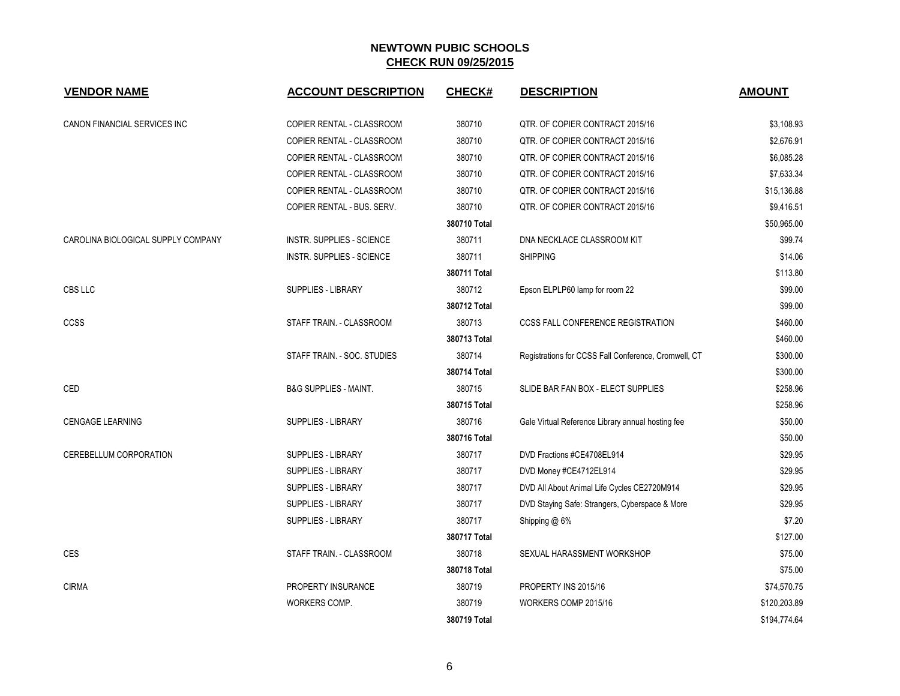| <b>VENDOR NAME</b>                 | <b>ACCOUNT DESCRIPTION</b>       | CHECK#       | <b>DESCRIPTION</b>                                   | <b>AMOUNT</b> |
|------------------------------------|----------------------------------|--------------|------------------------------------------------------|---------------|
| CANON FINANCIAL SERVICES INC       | COPIER RENTAL - CLASSROOM        | 380710       | QTR. OF COPIER CONTRACT 2015/16                      | \$3,108.93    |
|                                    | COPIER RENTAL - CLASSROOM        | 380710       | QTR. OF COPIER CONTRACT 2015/16                      | \$2,676.91    |
|                                    | COPIER RENTAL - CLASSROOM        | 380710       | QTR. OF COPIER CONTRACT 2015/16                      | \$6,085.28    |
|                                    | COPIER RENTAL - CLASSROOM        | 380710       | QTR. OF COPIER CONTRACT 2015/16                      | \$7,633.34    |
|                                    | COPIER RENTAL - CLASSROOM        | 380710       | QTR. OF COPIER CONTRACT 2015/16                      | \$15,136.88   |
|                                    | COPIER RENTAL - BUS. SERV.       | 380710       | QTR. OF COPIER CONTRACT 2015/16                      | \$9,416.51    |
|                                    |                                  | 380710 Total |                                                      | \$50,965.00   |
| CAROLINA BIOLOGICAL SUPPLY COMPANY | INSTR. SUPPLIES - SCIENCE        | 380711       | DNA NECKLACE CLASSROOM KIT                           | \$99.74       |
|                                    | <b>INSTR. SUPPLIES - SCIENCE</b> | 380711       | <b>SHIPPING</b>                                      | \$14.06       |
|                                    |                                  | 380711 Total |                                                      | \$113.80      |
| CBS LLC                            | SUPPLIES - LIBRARY               | 380712       | Epson ELPLP60 lamp for room 22                       | \$99.00       |
|                                    |                                  | 380712 Total |                                                      | \$99.00       |
| <b>CCSS</b>                        | STAFF TRAIN. - CLASSROOM         | 380713       | <b>CCSS FALL CONFERENCE REGISTRATION</b>             | \$460.00      |
|                                    |                                  | 380713 Total |                                                      | \$460.00      |
|                                    | STAFF TRAIN. - SOC. STUDIES      | 380714       | Registrations for CCSS Fall Conference, Cromwell, CT | \$300.00      |
|                                    |                                  | 380714 Total |                                                      | \$300.00      |
| CED                                | <b>B&amp;G SUPPLIES - MAINT.</b> | 380715       | SLIDE BAR FAN BOX - ELECT SUPPLIES                   | \$258.96      |
|                                    |                                  | 380715 Total |                                                      | \$258.96      |
| <b>CENGAGE LEARNING</b>            | <b>SUPPLIES - LIBRARY</b>        | 380716       | Gale Virtual Reference Library annual hosting fee    | \$50.00       |
|                                    |                                  | 380716 Total |                                                      | \$50.00       |
| CEREBELLUM CORPORATION             | SUPPLIES - LIBRARY               | 380717       | DVD Fractions #CE4708EL914                           | \$29.95       |
|                                    | SUPPLIES - LIBRARY               | 380717       | DVD Money #CE4712EL914                               | \$29.95       |
|                                    | SUPPLIES - LIBRARY               | 380717       | DVD All About Animal Life Cycles CE2720M914          | \$29.95       |
|                                    | SUPPLIES - LIBRARY               | 380717       | DVD Staying Safe: Strangers, Cyberspace & More       | \$29.95       |
|                                    | SUPPLIES - LIBRARY               | 380717       | Shipping @ 6%                                        | \$7.20        |
|                                    |                                  | 380717 Total |                                                      | \$127.00      |
| <b>CES</b>                         | STAFF TRAIN. - CLASSROOM         | 380718       | SEXUAL HARASSMENT WORKSHOP                           | \$75.00       |
|                                    |                                  | 380718 Total |                                                      | \$75.00       |
| <b>CIRMA</b>                       | PROPERTY INSURANCE               | 380719       | PROPERTY INS 2015/16                                 | \$74,570.75   |
|                                    | WORKERS COMP.                    | 380719       | WORKERS COMP 2015/16                                 | \$120,203.89  |
|                                    |                                  | 380719 Total |                                                      | \$194,774.64  |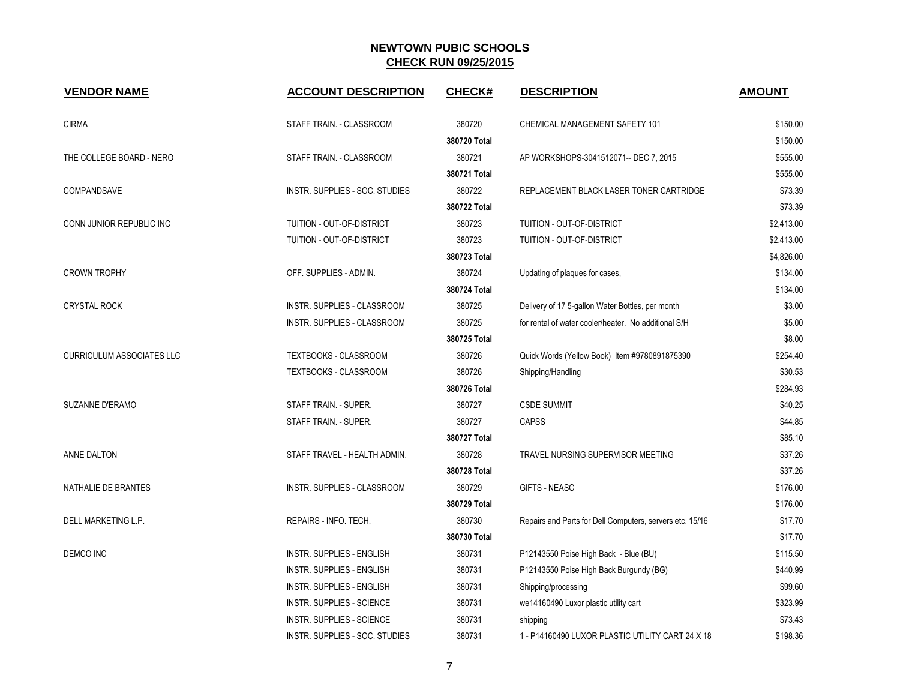| <b>VENDOR NAME</b>               | <b>ACCOUNT DESCRIPTION</b>         | <b>CHECK#</b> | <b>DESCRIPTION</b>                                       | <b>AMOUNT</b> |
|----------------------------------|------------------------------------|---------------|----------------------------------------------------------|---------------|
| <b>CIRMA</b>                     | STAFF TRAIN. - CLASSROOM           | 380720        | CHEMICAL MANAGEMENT SAFETY 101                           | \$150.00      |
|                                  |                                    | 380720 Total  |                                                          | \$150.00      |
| THE COLLEGE BOARD - NERO         | STAFF TRAIN. - CLASSROOM           | 380721        | AP WORKSHOPS-3041512071-- DEC 7, 2015                    | \$555.00      |
|                                  |                                    | 380721 Total  |                                                          | \$555.00      |
| COMPANDSAVE                      | INSTR. SUPPLIES - SOC. STUDIES     | 380722        | REPLACEMENT BLACK LASER TONER CARTRIDGE                  | \$73.39       |
|                                  |                                    | 380722 Total  |                                                          | \$73.39       |
| CONN JUNIOR REPUBLIC INC         | TUITION - OUT-OF-DISTRICT          | 380723        | TUITION - OUT-OF-DISTRICT                                | \$2,413.00    |
|                                  | TUITION - OUT-OF-DISTRICT          | 380723        | TUITION - OUT-OF-DISTRICT                                | \$2,413.00    |
|                                  |                                    | 380723 Total  |                                                          | \$4,826.00    |
| <b>CROWN TROPHY</b>              | OFF. SUPPLIES - ADMIN.             | 380724        | Updating of plaques for cases,                           | \$134.00      |
|                                  |                                    | 380724 Total  |                                                          | \$134.00      |
| <b>CRYSTAL ROCK</b>              | INSTR. SUPPLIES - CLASSROOM        | 380725        | Delivery of 17 5-gallon Water Bottles, per month         | \$3.00        |
|                                  | <b>INSTR. SUPPLIES - CLASSROOM</b> | 380725        | for rental of water cooler/heater. No additional S/H     | \$5.00        |
|                                  |                                    | 380725 Total  |                                                          | \$8.00        |
| <b>CURRICULUM ASSOCIATES LLC</b> | TEXTBOOKS - CLASSROOM              | 380726        | Quick Words (Yellow Book) Item #9780891875390            | \$254.40      |
|                                  | <b>TEXTBOOKS - CLASSROOM</b>       | 380726        | Shipping/Handling                                        | \$30.53       |
|                                  |                                    | 380726 Total  |                                                          | \$284.93      |
| SUZANNE D'ERAMO                  | STAFF TRAIN. - SUPER.              | 380727        | <b>CSDE SUMMIT</b>                                       | \$40.25       |
|                                  | STAFF TRAIN. - SUPER.              | 380727        | CAPSS                                                    | \$44.85       |
|                                  |                                    | 380727 Total  |                                                          | \$85.10       |
| ANNE DALTON                      | STAFF TRAVEL - HEALTH ADMIN.       | 380728        | TRAVEL NURSING SUPERVISOR MEETING                        | \$37.26       |
|                                  |                                    | 380728 Total  |                                                          | \$37.26       |
| NATHALIE DE BRANTES              | INSTR. SUPPLIES - CLASSROOM        | 380729        | <b>GIFTS - NEASC</b>                                     | \$176.00      |
|                                  |                                    | 380729 Total  |                                                          | \$176.00      |
| DELL MARKETING L.P.              | REPAIRS - INFO. TECH.              | 380730        | Repairs and Parts for Dell Computers, servers etc. 15/16 | \$17.70       |
|                                  |                                    | 380730 Total  |                                                          | \$17.70       |
| <b>DEMCO INC</b>                 | <b>INSTR. SUPPLIES - ENGLISH</b>   | 380731        | P12143550 Poise High Back - Blue (BU)                    | \$115.50      |
|                                  | <b>INSTR. SUPPLIES - ENGLISH</b>   | 380731        | P12143550 Poise High Back Burgundy (BG)                  | \$440.99      |
|                                  | INSTR. SUPPLIES - ENGLISH          | 380731        | Shipping/processing                                      | \$99.60       |
|                                  | INSTR. SUPPLIES - SCIENCE          | 380731        | we14160490 Luxor plastic utility cart                    | \$323.99      |
|                                  | <b>INSTR. SUPPLIES - SCIENCE</b>   | 380731        | shipping                                                 | \$73.43       |
|                                  | INSTR. SUPPLIES - SOC. STUDIES     | 380731        | 1 - P14160490 LUXOR PLASTIC UTILITY CART 24 X 18         | \$198.36      |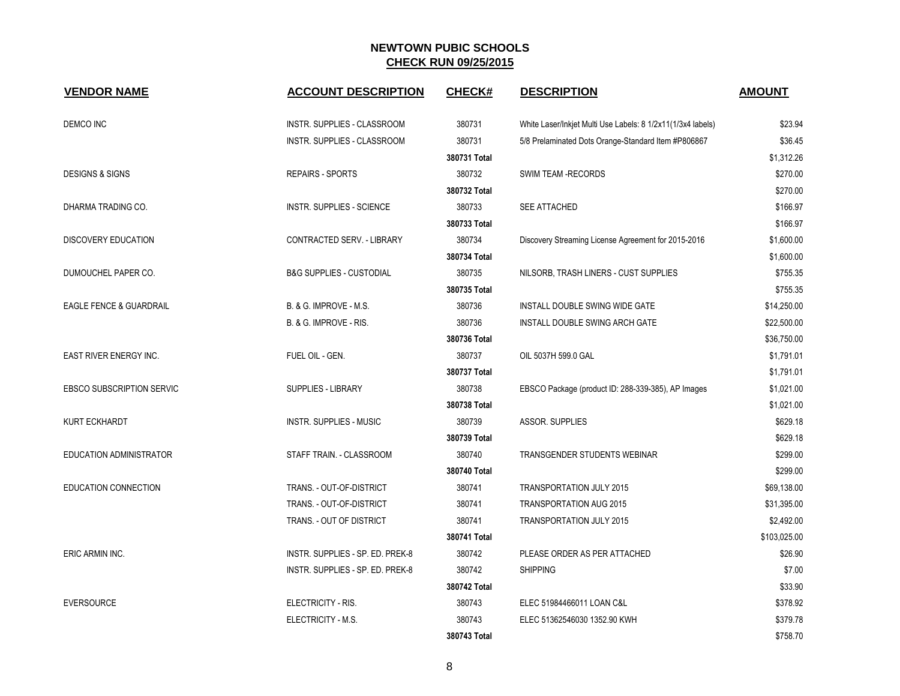| <b>VENDOR NAME</b>                 | <b>ACCOUNT DESCRIPTION</b>          | <b>CHECK#</b> | <b>DESCRIPTION</b>                                          | <b>AMOUNT</b> |
|------------------------------------|-------------------------------------|---------------|-------------------------------------------------------------|---------------|
| DEMCO INC                          | INSTR. SUPPLIES - CLASSROOM         | 380731        | White Laser/Inkjet Multi Use Labels: 8 1/2x11(1/3x4 labels) | \$23.94       |
|                                    | INSTR. SUPPLIES - CLASSROOM         | 380731        | 5/8 Prelaminated Dots Orange-Standard Item #P806867         | \$36.45       |
|                                    |                                     | 380731 Total  |                                                             | \$1,312.26    |
| <b>DESIGNS &amp; SIGNS</b>         | <b>REPAIRS - SPORTS</b>             | 380732        | <b>SWIM TEAM -RECORDS</b>                                   | \$270.00      |
|                                    |                                     | 380732 Total  |                                                             | \$270.00      |
| DHARMA TRADING CO.                 | <b>INSTR. SUPPLIES - SCIENCE</b>    | 380733        | <b>SEE ATTACHED</b>                                         | \$166.97      |
|                                    |                                     | 380733 Total  |                                                             | \$166.97      |
| <b>DISCOVERY EDUCATION</b>         | CONTRACTED SERV. - LIBRARY          | 380734        | Discovery Streaming License Agreement for 2015-2016         | \$1,600.00    |
|                                    |                                     | 380734 Total  |                                                             | \$1,600.00    |
| DUMOUCHEL PAPER CO.                | <b>B&amp;G SUPPLIES - CUSTODIAL</b> | 380735        | NILSORB, TRASH LINERS - CUST SUPPLIES                       | \$755.35      |
|                                    |                                     | 380735 Total  |                                                             | \$755.35      |
| <b>EAGLE FENCE &amp; GUARDRAIL</b> | B. & G. IMPROVE - M.S.              | 380736        | INSTALL DOUBLE SWING WIDE GATE                              | \$14,250.00   |
|                                    | B. & G. IMPROVE - RIS.              | 380736        | INSTALL DOUBLE SWING ARCH GATE                              | \$22,500.00   |
|                                    |                                     | 380736 Total  |                                                             | \$36,750.00   |
| EAST RIVER ENERGY INC.             | FUEL OIL - GEN.                     | 380737        | OIL 5037H 599.0 GAL                                         | \$1,791.01    |
|                                    |                                     | 380737 Total  |                                                             | \$1,791.01    |
| <b>EBSCO SUBSCRIPTION SERVIC</b>   | <b>SUPPLIES - LIBRARY</b>           | 380738        | EBSCO Package (product ID: 288-339-385), AP Images          | \$1,021.00    |
|                                    |                                     | 380738 Total  |                                                             | \$1,021.00    |
| <b>KURT ECKHARDT</b>               | <b>INSTR. SUPPLIES - MUSIC</b>      | 380739        | ASSOR. SUPPLIES                                             | \$629.18      |
|                                    |                                     | 380739 Total  |                                                             | \$629.18      |
| EDUCATION ADMINISTRATOR            | STAFF TRAIN. - CLASSROOM            | 380740        | TRANSGENDER STUDENTS WEBINAR                                | \$299.00      |
|                                    |                                     | 380740 Total  |                                                             | \$299.00      |
| EDUCATION CONNECTION               | TRANS. - OUT-OF-DISTRICT            | 380741        | <b>TRANSPORTATION JULY 2015</b>                             | \$69,138.00   |
|                                    | TRANS. - OUT-OF-DISTRICT            | 380741        | <b>TRANSPORTATION AUG 2015</b>                              | \$31,395.00   |
|                                    | TRANS. - OUT OF DISTRICT            | 380741        | TRANSPORTATION JULY 2015                                    | \$2,492.00    |
|                                    |                                     | 380741 Total  |                                                             | \$103,025.00  |
| ERIC ARMIN INC.                    | INSTR. SUPPLIES - SP. ED. PREK-8    | 380742        | PLEASE ORDER AS PER ATTACHED                                | \$26.90       |
|                                    | INSTR. SUPPLIES - SP. ED. PREK-8    | 380742        | <b>SHIPPING</b>                                             | \$7.00        |
|                                    |                                     | 380742 Total  |                                                             | \$33.90       |
| <b>EVERSOURCE</b>                  | ELECTRICITY - RIS.                  | 380743        | ELEC 51984466011 LOAN C&L                                   | \$378.92      |
|                                    | ELECTRICITY - M.S.                  | 380743        | ELEC 51362546030 1352.90 KWH                                | \$379.78      |
|                                    |                                     | 380743 Total  |                                                             | \$758.70      |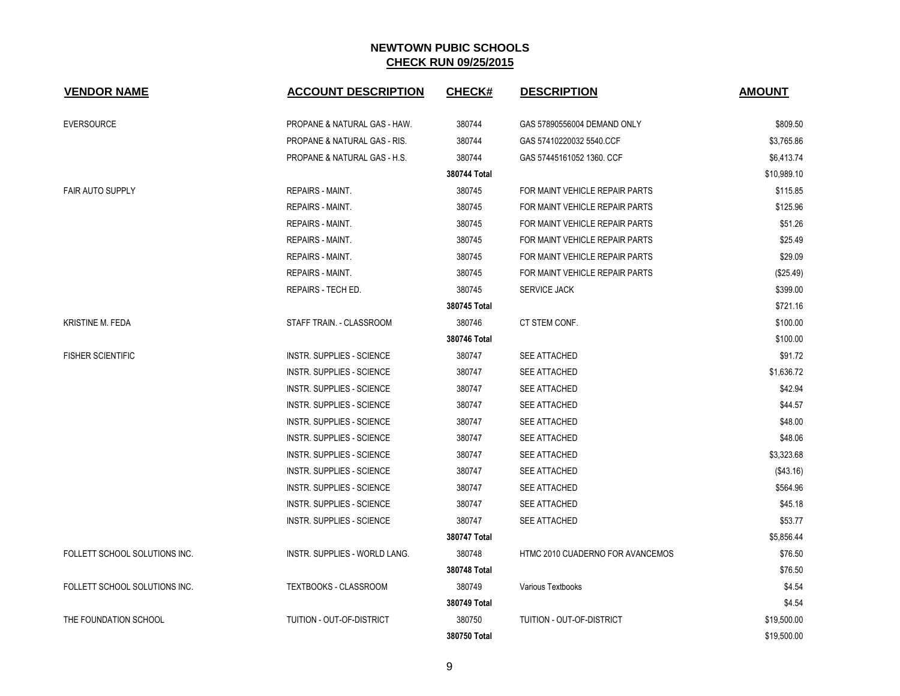| <b>VENDOR NAME</b>            | <b>ACCOUNT DESCRIPTION</b>              | <b>CHECK#</b> | <b>DESCRIPTION</b>               | <b>AMOUNT</b> |
|-------------------------------|-----------------------------------------|---------------|----------------------------------|---------------|
|                               |                                         |               |                                  |               |
| <b>EVERSOURCE</b>             | PROPANE & NATURAL GAS - HAW.            | 380744        | GAS 57890556004 DEMAND ONLY      | \$809.50      |
|                               | <b>PROPANE &amp; NATURAL GAS - RIS.</b> | 380744        | GAS 57410220032 5540 CCF         | \$3,765.86    |
|                               | PROPANE & NATURAL GAS - H.S.            | 380744        | GAS 57445161052 1360, CCF        | \$6,413.74    |
|                               |                                         | 380744 Total  |                                  | \$10,989.10   |
| <b>FAIR AUTO SUPPLY</b>       | REPAIRS - MAINT.                        | 380745        | FOR MAINT VEHICLE REPAIR PARTS   | \$115.85      |
|                               | <b>REPAIRS - MAINT.</b>                 | 380745        | FOR MAINT VEHICLE REPAIR PARTS   | \$125.96      |
|                               | REPAIRS - MAINT.                        | 380745        | FOR MAINT VEHICLE REPAIR PARTS   | \$51.26       |
|                               | <b>REPAIRS - MAINT.</b>                 | 380745        | FOR MAINT VEHICLE REPAIR PARTS   | \$25.49       |
|                               | REPAIRS - MAINT.                        | 380745        | FOR MAINT VEHICLE REPAIR PARTS   | \$29.09       |
|                               | <b>REPAIRS - MAINT.</b>                 | 380745        | FOR MAINT VEHICLE REPAIR PARTS   | (\$25.49)     |
|                               | REPAIRS - TECH ED.                      | 380745        | <b>SERVICE JACK</b>              | \$399.00      |
|                               |                                         | 380745 Total  |                                  | \$721.16      |
| KRISTINE M. FEDA              | STAFF TRAIN. - CLASSROOM                | 380746        | CT STEM CONF.                    | \$100.00      |
|                               |                                         | 380746 Total  |                                  | \$100.00      |
| <b>FISHER SCIENTIFIC</b>      | INSTR. SUPPLIES - SCIENCE               | 380747        | <b>SEE ATTACHED</b>              | \$91.72       |
|                               | <b>INSTR. SUPPLIES - SCIENCE</b>        | 380747        | <b>SEE ATTACHED</b>              | \$1,636.72    |
|                               | <b>INSTR. SUPPLIES - SCIENCE</b>        | 380747        | SEE ATTACHED                     | \$42.94       |
|                               | INSTR. SUPPLIES - SCIENCE               | 380747        | <b>SEE ATTACHED</b>              | \$44.57       |
|                               | INSTR. SUPPLIES - SCIENCE               | 380747        | <b>SEE ATTACHED</b>              | \$48.00       |
|                               | <b>INSTR. SUPPLIES - SCIENCE</b>        | 380747        | SEE ATTACHED                     | \$48.06       |
|                               | INSTR. SUPPLIES - SCIENCE               | 380747        | SEE ATTACHED                     | \$3,323.68    |
|                               | <b>INSTR. SUPPLIES - SCIENCE</b>        | 380747        | <b>SEE ATTACHED</b>              | (\$43.16)     |
|                               | <b>INSTR. SUPPLIES - SCIENCE</b>        | 380747        | SEE ATTACHED                     | \$564.96      |
|                               | <b>INSTR. SUPPLIES - SCIENCE</b>        | 380747        | <b>SEE ATTACHED</b>              | \$45.18       |
|                               | INSTR. SUPPLIES - SCIENCE               | 380747        | <b>SEE ATTACHED</b>              | \$53.77       |
|                               |                                         | 380747 Total  |                                  | \$5,856.44    |
| FOLLETT SCHOOL SOLUTIONS INC. | INSTR. SUPPLIES - WORLD LANG.           | 380748        | HTMC 2010 CUADERNO FOR AVANCEMOS | \$76.50       |
|                               |                                         | 380748 Total  |                                  | \$76.50       |
| FOLLETT SCHOOL SOLUTIONS INC. | <b>TEXTBOOKS - CLASSROOM</b>            | 380749        | Various Textbooks                | \$4.54        |
|                               |                                         | 380749 Total  |                                  | \$4.54        |
| THE FOUNDATION SCHOOL         | TUITION - OUT-OF-DISTRICT               | 380750        | TUITION - OUT-OF-DISTRICT        | \$19,500.00   |
|                               |                                         | 380750 Total  |                                  | \$19,500.00   |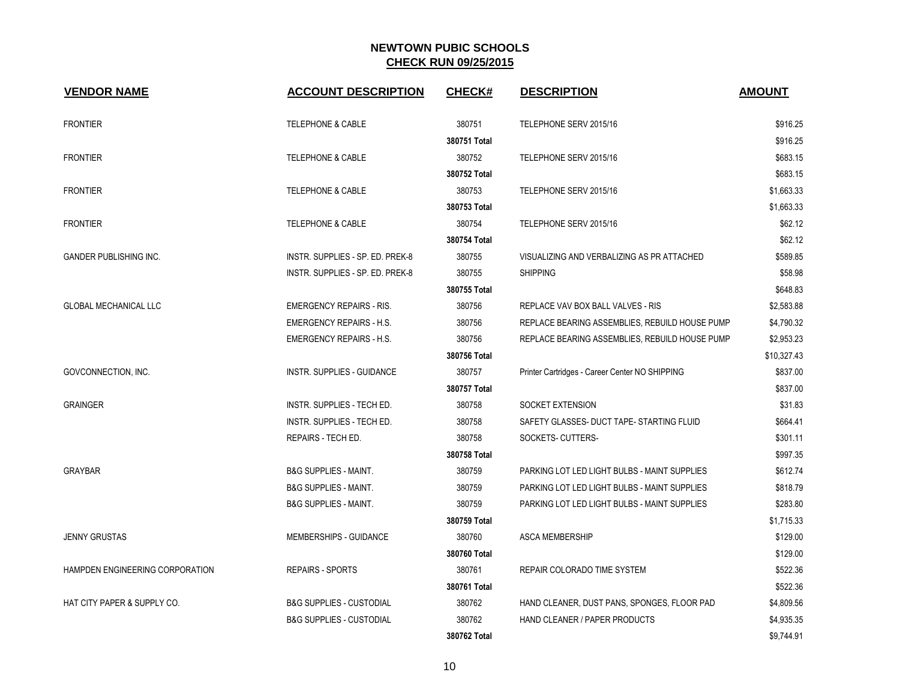| <b>VENDOR NAME</b>              | <b>ACCOUNT DESCRIPTION</b>          | <b>CHECK#</b> | <b>DESCRIPTION</b>                             | <b>AMOUNT</b> |
|---------------------------------|-------------------------------------|---------------|------------------------------------------------|---------------|
| <b>FRONTIER</b>                 | <b>TELEPHONE &amp; CABLE</b>        | 380751        | TELEPHONE SERV 2015/16                         | \$916.25      |
|                                 |                                     | 380751 Total  |                                                | \$916.25      |
| <b>FRONTIER</b>                 | <b>TELEPHONE &amp; CABLE</b>        | 380752        | TELEPHONE SERV 2015/16                         | \$683.15      |
|                                 |                                     | 380752 Total  |                                                | \$683.15      |
| <b>FRONTIER</b>                 | <b>TELEPHONE &amp; CABLE</b>        | 380753        | TELEPHONE SERV 2015/16                         | \$1,663.33    |
|                                 |                                     | 380753 Total  |                                                | \$1,663.33    |
| <b>FRONTIER</b>                 | <b>TELEPHONE &amp; CABLE</b>        | 380754        | TELEPHONE SERV 2015/16                         | \$62.12       |
|                                 |                                     | 380754 Total  |                                                | \$62.12       |
| <b>GANDER PUBLISHING INC.</b>   | INSTR. SUPPLIES - SP. ED. PREK-8    | 380755        | VISUALIZING AND VERBALIZING AS PR ATTACHED     | \$589.85      |
|                                 | INSTR. SUPPLIES - SP. ED. PREK-8    | 380755        | <b>SHIPPING</b>                                | \$58.98       |
|                                 |                                     | 380755 Total  |                                                | \$648.83      |
| <b>GLOBAL MECHANICAL LLC</b>    | <b>EMERGENCY REPAIRS - RIS.</b>     | 380756        | REPLACE VAV BOX BALL VALVES - RIS              | \$2,583.88    |
|                                 | <b>EMERGENCY REPAIRS - H.S.</b>     | 380756        | REPLACE BEARING ASSEMBLIES, REBUILD HOUSE PUMP | \$4,790.32    |
|                                 | <b>EMERGENCY REPAIRS - H.S.</b>     | 380756        | REPLACE BEARING ASSEMBLIES, REBUILD HOUSE PUMP | \$2,953.23    |
|                                 |                                     | 380756 Total  |                                                | \$10,327.43   |
| GOVCONNECTION, INC.             | INSTR. SUPPLIES - GUIDANCE          | 380757        | Printer Cartridges - Career Center NO SHIPPING | \$837.00      |
|                                 |                                     | 380757 Total  |                                                | \$837.00      |
| <b>GRAINGER</b>                 | INSTR. SUPPLIES - TECH ED.          | 380758        | SOCKET EXTENSION                               | \$31.83       |
|                                 | INSTR. SUPPLIES - TECH ED.          | 380758        | SAFETY GLASSES- DUCT TAPE- STARTING FLUID      | \$664.41      |
|                                 | REPAIRS - TECH ED.                  | 380758        | SOCKETS- CUTTERS-                              | \$301.11      |
|                                 |                                     | 380758 Total  |                                                | \$997.35      |
| <b>GRAYBAR</b>                  | <b>B&amp;G SUPPLIES - MAINT.</b>    | 380759        | PARKING LOT LED LIGHT BULBS - MAINT SUPPLIES   | \$612.74      |
|                                 | <b>B&amp;G SUPPLIES - MAINT.</b>    | 380759        | PARKING LOT LED LIGHT BULBS - MAINT SUPPLIES   | \$818.79      |
|                                 | <b>B&amp;G SUPPLIES - MAINT.</b>    | 380759        | PARKING LOT LED LIGHT BULBS - MAINT SUPPLIES   | \$283.80      |
|                                 |                                     | 380759 Total  |                                                | \$1,715.33    |
| <b>JENNY GRUSTAS</b>            | MEMBERSHIPS - GUIDANCE              | 380760        | <b>ASCA MEMBERSHIP</b>                         | \$129.00      |
|                                 |                                     | 380760 Total  |                                                | \$129.00      |
| HAMPDEN ENGINEERING CORPORATION | REPAIRS - SPORTS                    | 380761        | REPAIR COLORADO TIME SYSTEM                    | \$522.36      |
|                                 |                                     | 380761 Total  |                                                | \$522.36      |
| HAT CITY PAPER & SUPPLY CO.     | <b>B&amp;G SUPPLIES - CUSTODIAL</b> | 380762        | HAND CLEANER, DUST PANS, SPONGES, FLOOR PAD    | \$4,809.56    |
|                                 | <b>B&amp;G SUPPLIES - CUSTODIAL</b> | 380762        | HAND CLEANER / PAPER PRODUCTS                  | \$4,935.35    |
|                                 |                                     | 380762 Total  |                                                | \$9,744.91    |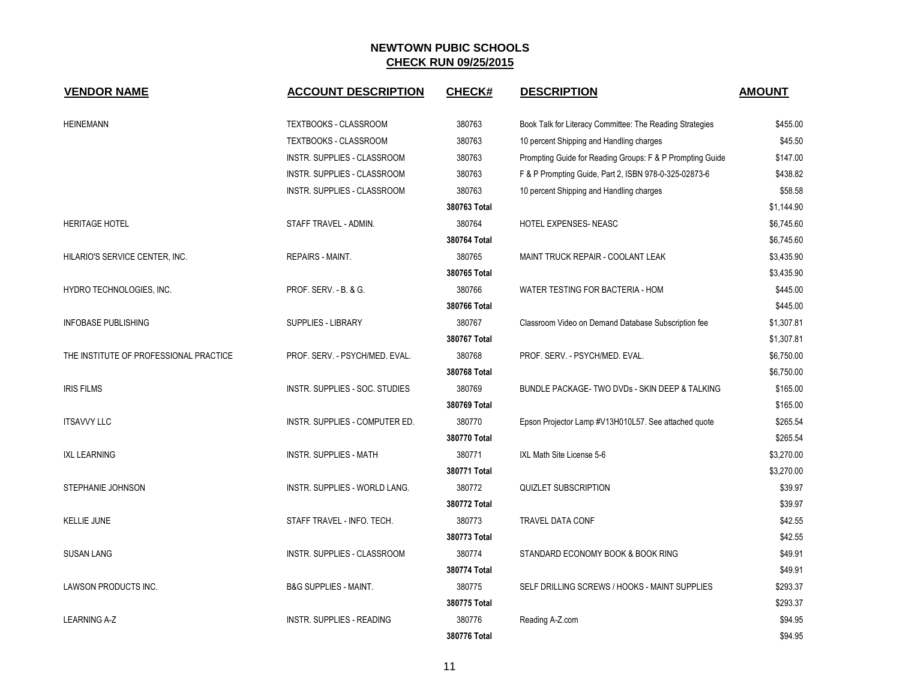| <b>VENDOR NAME</b>                     | <b>ACCOUNT DESCRIPTION</b>       | <b>CHECK#</b> | <b>DESCRIPTION</b>                                        | <b>AMOUNT</b> |
|----------------------------------------|----------------------------------|---------------|-----------------------------------------------------------|---------------|
|                                        |                                  |               |                                                           |               |
| <b>HEINEMANN</b>                       | TEXTBOOKS - CLASSROOM            | 380763        | Book Talk for Literacy Committee: The Reading Strategies  | \$455.00      |
|                                        | <b>TEXTBOOKS - CLASSROOM</b>     | 380763        | 10 percent Shipping and Handling charges                  | \$45.50       |
|                                        | INSTR. SUPPLIES - CLASSROOM      | 380763        | Prompting Guide for Reading Groups: F & P Prompting Guide | \$147.00      |
|                                        | INSTR. SUPPLIES - CLASSROOM      | 380763        | F & P Prompting Guide, Part 2, ISBN 978-0-325-02873-6     | \$438.82      |
|                                        | INSTR. SUPPLIES - CLASSROOM      | 380763        | 10 percent Shipping and Handling charges                  | \$58.58       |
|                                        |                                  | 380763 Total  |                                                           | \$1,144.90    |
| <b>HERITAGE HOTEL</b>                  | STAFF TRAVEL - ADMIN.            | 380764        | HOTEL EXPENSES-NEASC                                      | \$6,745.60    |
|                                        |                                  | 380764 Total  |                                                           | \$6,745.60    |
| HILARIO'S SERVICE CENTER, INC.         | REPAIRS - MAINT.                 | 380765        | MAINT TRUCK REPAIR - COOLANT LEAK                         | \$3,435.90    |
|                                        |                                  | 380765 Total  |                                                           | \$3,435.90    |
| HYDRO TECHNOLOGIES, INC.               | <b>PROF. SERV. - B. &amp; G.</b> | 380766        | WATER TESTING FOR BACTERIA - HOM                          | \$445.00      |
|                                        |                                  | 380766 Total  |                                                           | \$445.00      |
| <b>INFOBASE PUBLISHING</b>             | <b>SUPPLIES - LIBRARY</b>        | 380767        | Classroom Video on Demand Database Subscription fee       | \$1,307.81    |
|                                        |                                  | 380767 Total  |                                                           | \$1,307.81    |
| THE INSTITUTE OF PROFESSIONAL PRACTICE | PROF. SERV. - PSYCH/MED. EVAL.   | 380768        | PROF. SERV. - PSYCH/MED. EVAL.                            | \$6,750.00    |
|                                        |                                  | 380768 Total  |                                                           | \$6,750.00    |
| <b>IRIS FILMS</b>                      | INSTR. SUPPLIES - SOC. STUDIES   | 380769        | BUNDLE PACKAGE-TWO DVDs - SKIN DEEP & TALKING             | \$165.00      |
|                                        |                                  | 380769 Total  |                                                           | \$165.00      |
| <b>ITSAVVY LLC</b>                     | INSTR. SUPPLIES - COMPUTER ED.   | 380770        | Epson Projector Lamp #V13H010L57. See attached quote      | \$265.54      |
|                                        |                                  | 380770 Total  |                                                           | \$265.54      |
| <b>IXL LEARNING</b>                    | <b>INSTR. SUPPLIES - MATH</b>    | 380771        | IXL Math Site License 5-6                                 | \$3,270.00    |
|                                        |                                  | 380771 Total  |                                                           | \$3,270.00    |
| STEPHANIE JOHNSON                      | INSTR. SUPPLIES - WORLD LANG.    | 380772        | <b>QUIZLET SUBSCRIPTION</b>                               | \$39.97       |
|                                        |                                  | 380772 Total  |                                                           | \$39.97       |
| <b>KELLIE JUNE</b>                     | STAFF TRAVEL - INFO. TECH.       | 380773        | TRAVEL DATA CONF                                          | \$42.55       |
|                                        |                                  | 380773 Total  |                                                           | \$42.55       |
| <b>SUSAN LANG</b>                      | INSTR. SUPPLIES - CLASSROOM      | 380774        | STANDARD ECONOMY BOOK & BOOK RING                         | \$49.91       |
|                                        |                                  | 380774 Total  |                                                           | \$49.91       |
| LAWSON PRODUCTS INC.                   | <b>B&amp;G SUPPLIES - MAINT.</b> | 380775        | SELF DRILLING SCREWS / HOOKS - MAINT SUPPLIES             | \$293.37      |
|                                        |                                  | 380775 Total  |                                                           | \$293.37      |
| <b>LEARNING A-Z</b>                    | <b>INSTR. SUPPLIES - READING</b> | 380776        | Reading A-Z.com                                           | \$94.95       |
|                                        |                                  | 380776 Total  |                                                           | \$94.95       |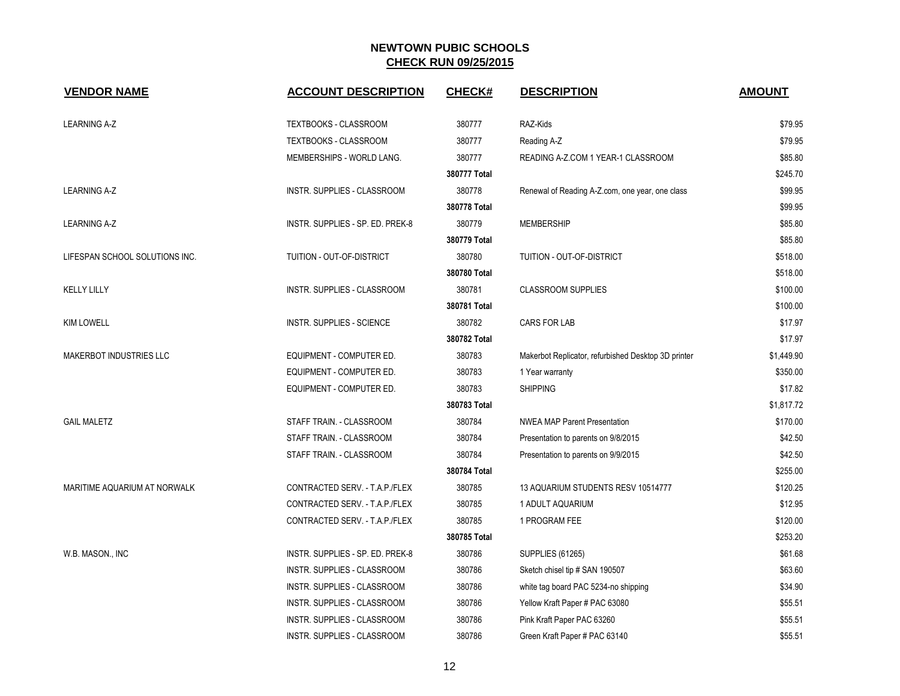| <b>VENDOR NAME</b>             | <b>ACCOUNT DESCRIPTION</b>       | CHECK#       | <b>DESCRIPTION</b>                                  | <b>AMOUNT</b> |
|--------------------------------|----------------------------------|--------------|-----------------------------------------------------|---------------|
|                                |                                  |              |                                                     |               |
| <b>LEARNING A-Z</b>            | TEXTBOOKS - CLASSROOM            | 380777       | RAZ-Kids                                            | \$79.95       |
|                                | TEXTBOOKS - CLASSROOM            | 380777       | Reading A-Z                                         | \$79.95       |
|                                | MEMBERSHIPS - WORLD LANG.        | 380777       | READING A-Z.COM 1 YEAR-1 CLASSROOM                  | \$85.80       |
|                                |                                  | 380777 Total |                                                     | \$245.70      |
| <b>LEARNING A-Z</b>            | INSTR. SUPPLIES - CLASSROOM      | 380778       | Renewal of Reading A-Z.com, one year, one class     | \$99.95       |
|                                |                                  | 380778 Total |                                                     | \$99.95       |
| <b>LEARNING A-Z</b>            | INSTR. SUPPLIES - SP. ED. PREK-8 | 380779       | <b>MEMBERSHIP</b>                                   | \$85.80       |
|                                |                                  | 380779 Total |                                                     | \$85.80       |
| LIFESPAN SCHOOL SOLUTIONS INC. | TUITION - OUT-OF-DISTRICT        | 380780       | TUITION - OUT-OF-DISTRICT                           | \$518.00      |
|                                |                                  | 380780 Total |                                                     | \$518.00      |
| <b>KELLY LILLY</b>             | INSTR. SUPPLIES - CLASSROOM      | 380781       | <b>CLASSROOM SUPPLIES</b>                           | \$100.00      |
|                                |                                  | 380781 Total |                                                     | \$100.00      |
| <b>KIM LOWELL</b>              | <b>INSTR. SUPPLIES - SCIENCE</b> | 380782       | <b>CARS FOR LAB</b>                                 | \$17.97       |
|                                |                                  | 380782 Total |                                                     | \$17.97       |
| <b>MAKERBOT INDUSTRIES LLC</b> | EQUIPMENT - COMPUTER ED.         | 380783       | Makerbot Replicator, refurbished Desktop 3D printer | \$1,449.90    |
|                                | EQUIPMENT - COMPUTER ED.         | 380783       | 1 Year warranty                                     | \$350.00      |
|                                | EQUIPMENT - COMPUTER ED.         | 380783       | <b>SHIPPING</b>                                     | \$17.82       |
|                                |                                  | 380783 Total |                                                     | \$1,817.72    |
| <b>GAIL MALETZ</b>             | STAFF TRAIN. - CLASSROOM         | 380784       | <b>NWEA MAP Parent Presentation</b>                 | \$170.00      |
|                                | STAFF TRAIN. - CLASSROOM         | 380784       | Presentation to parents on 9/8/2015                 | \$42.50       |
|                                | STAFF TRAIN. - CLASSROOM         | 380784       | Presentation to parents on 9/9/2015                 | \$42.50       |
|                                |                                  | 380784 Total |                                                     | \$255.00      |
| MARITIME AQUARIUM AT NORWALK   | CONTRACTED SERV. - T.A.P./FLEX   | 380785       | 13 AQUARIUM STUDENTS RESV 10514777                  | \$120.25      |
|                                | CONTRACTED SERV. - T.A.P./FLEX   | 380785       | 1 ADULT AQUARIUM                                    | \$12.95       |
|                                | CONTRACTED SERV. - T.A.P./FLEX   | 380785       | 1 PROGRAM FEE                                       | \$120.00      |
|                                |                                  | 380785 Total |                                                     | \$253.20      |
| W.B. MASON., INC               | INSTR. SUPPLIES - SP. ED. PREK-8 | 380786       | <b>SUPPLIES (61265)</b>                             | \$61.68       |
|                                | INSTR. SUPPLIES - CLASSROOM      | 380786       | Sketch chisel tip # SAN 190507                      | \$63.60       |
|                                | INSTR. SUPPLIES - CLASSROOM      | 380786       | white tag board PAC 5234-no shipping                | \$34.90       |
|                                | INSTR. SUPPLIES - CLASSROOM      | 380786       | Yellow Kraft Paper # PAC 63080                      | \$55.51       |
|                                | INSTR. SUPPLIES - CLASSROOM      | 380786       | Pink Kraft Paper PAC 63260                          | \$55.51       |
|                                | INSTR. SUPPLIES - CLASSROOM      | 380786       | Green Kraft Paper # PAC 63140                       | \$55.51       |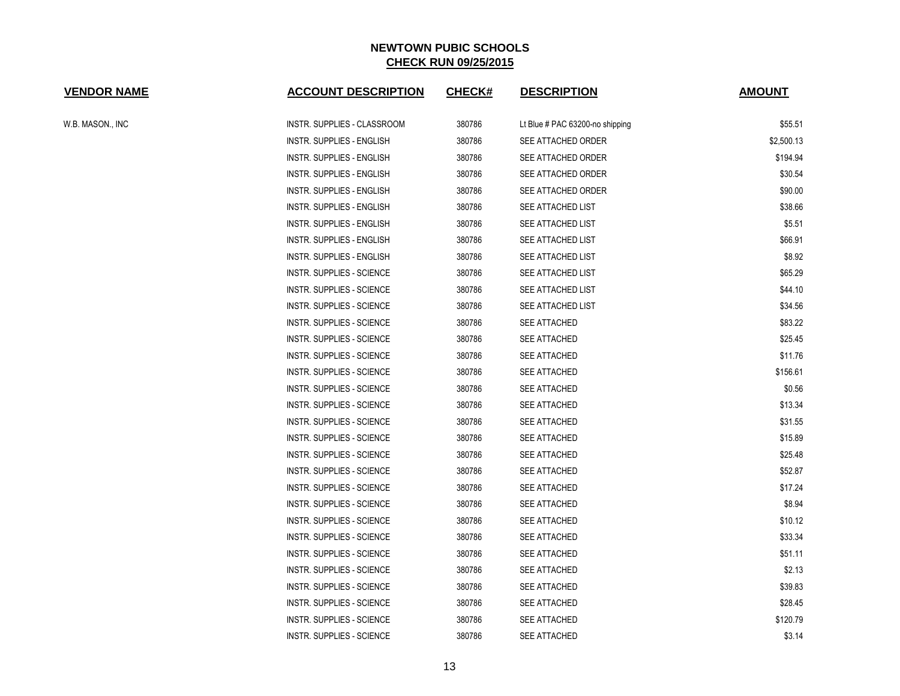| <b>VENDOR NAME</b> | <b>ACCOUNT DESCRIPTION</b>       | <b>CHECK#</b> | <b>DESCRIPTION</b>              | <b>AMOUNT</b> |
|--------------------|----------------------------------|---------------|---------------------------------|---------------|
| W.B. MASON., INC   | INSTR. SUPPLIES - CLASSROOM      | 380786        | Lt Blue # PAC 63200-no shipping | \$55.51       |
|                    | <b>INSTR. SUPPLIES - ENGLISH</b> | 380786        | SEE ATTACHED ORDER              | \$2,500.13    |
|                    | INSTR. SUPPLIES - ENGLISH        | 380786        | SEE ATTACHED ORDER              | \$194.94      |
|                    | INSTR. SUPPLIES - ENGLISH        | 380786        | SEE ATTACHED ORDER              | \$30.54       |
|                    | INSTR. SUPPLIES - ENGLISH        | 380786        | SEE ATTACHED ORDER              | \$90.00       |
|                    | INSTR. SUPPLIES - ENGLISH        | 380786        | SEE ATTACHED LIST               | \$38.66       |
|                    | <b>INSTR. SUPPLIES - ENGLISH</b> | 380786        | SEE ATTACHED LIST               | \$5.51        |
|                    | INSTR. SUPPLIES - ENGLISH        | 380786        | SEE ATTACHED LIST               | \$66.91       |
|                    | INSTR. SUPPLIES - ENGLISH        | 380786        | SEE ATTACHED LIST               | \$8.92        |
|                    | INSTR. SUPPLIES - SCIENCE        | 380786        | SEE ATTACHED LIST               | \$65.29       |
|                    | INSTR. SUPPLIES - SCIENCE        | 380786        | SEE ATTACHED LIST               | \$44.10       |
|                    | INSTR. SUPPLIES - SCIENCE        | 380786        | SEE ATTACHED LIST               | \$34.56       |
|                    | INSTR. SUPPLIES - SCIENCE        | 380786        | <b>SEE ATTACHED</b>             | \$83.22       |
|                    | INSTR. SUPPLIES - SCIENCE        | 380786        | SEE ATTACHED                    | \$25.45       |
|                    | <b>INSTR. SUPPLIES - SCIENCE</b> | 380786        | SEE ATTACHED                    | \$11.76       |
|                    | INSTR. SUPPLIES - SCIENCE        | 380786        | <b>SEE ATTACHED</b>             | \$156.61      |
|                    | INSTR. SUPPLIES - SCIENCE        | 380786        | <b>SEE ATTACHED</b>             | \$0.56        |
|                    | INSTR. SUPPLIES - SCIENCE        | 380786        | SEE ATTACHED                    | \$13.34       |
|                    | INSTR. SUPPLIES - SCIENCE        | 380786        | SEE ATTACHED                    | \$31.55       |
|                    | <b>INSTR. SUPPLIES - SCIENCE</b> | 380786        | SEE ATTACHED                    | \$15.89       |
|                    | INSTR. SUPPLIES - SCIENCE        | 380786        | <b>SEE ATTACHED</b>             | \$25.48       |
|                    | INSTR. SUPPLIES - SCIENCE        | 380786        | SEE ATTACHED                    | \$52.87       |
|                    | INSTR. SUPPLIES - SCIENCE        | 380786        | <b>SEE ATTACHED</b>             | \$17.24       |
|                    | <b>INSTR. SUPPLIES - SCIENCE</b> | 380786        | SEE ATTACHED                    | \$8.94        |
|                    | <b>INSTR. SUPPLIES - SCIENCE</b> | 380786        | SEE ATTACHED                    | \$10.12       |
|                    | INSTR. SUPPLIES - SCIENCE        | 380786        | <b>SEE ATTACHED</b>             | \$33.34       |
|                    | INSTR. SUPPLIES - SCIENCE        | 380786        | SEE ATTACHED                    | \$51.11       |
|                    | INSTR. SUPPLIES - SCIENCE        | 380786        | <b>SEE ATTACHED</b>             | \$2.13        |
|                    | INSTR. SUPPLIES - SCIENCE        | 380786        | SEE ATTACHED                    | \$39.83       |
|                    | INSTR. SUPPLIES - SCIENCE        | 380786        | SEE ATTACHED                    | \$28.45       |
|                    | INSTR. SUPPLIES - SCIENCE        | 380786        | <b>SEE ATTACHED</b>             | \$120.79      |
|                    | <b>INSTR. SUPPLIES - SCIENCE</b> | 380786        | <b>SEE ATTACHED</b>             | \$3.14        |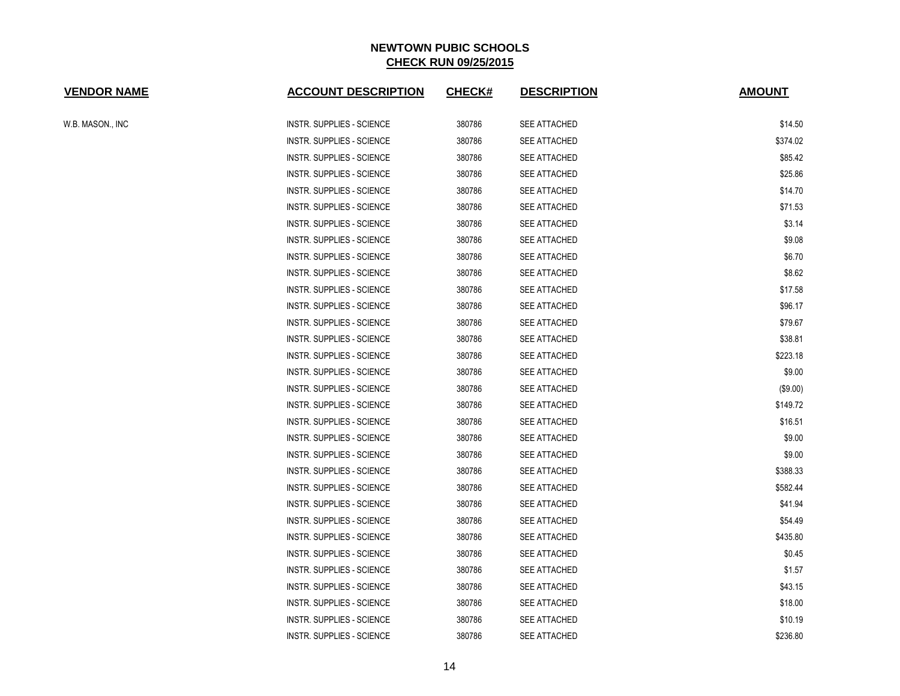| <b>VENDOR NAME</b> | <b>ACCOUNT DESCRIPTION</b>       | <b>CHECK#</b> | <b>DESCRIPTION</b>  | <b>AMOUNT</b> |
|--------------------|----------------------------------|---------------|---------------------|---------------|
| W.B. MASON., INC   | <b>INSTR. SUPPLIES - SCIENCE</b> | 380786        | SEE ATTACHED        | \$14.50       |
|                    | <b>INSTR. SUPPLIES - SCIENCE</b> | 380786        | <b>SEE ATTACHED</b> | \$374.02      |
|                    | <b>INSTR. SUPPLIES - SCIENCE</b> | 380786        | <b>SEE ATTACHED</b> | \$85.42       |
|                    | <b>INSTR. SUPPLIES - SCIENCE</b> | 380786        | <b>SEE ATTACHED</b> | \$25.86       |
|                    | INSTR. SUPPLIES - SCIENCE        | 380786        | SEE ATTACHED        | \$14.70       |
|                    | <b>INSTR. SUPPLIES - SCIENCE</b> | 380786        | SEE ATTACHED        | \$71.53       |
|                    | <b>INSTR. SUPPLIES - SCIENCE</b> | 380786        | SEE ATTACHED        | \$3.14        |
|                    | <b>INSTR. SUPPLIES - SCIENCE</b> | 380786        | <b>SEE ATTACHED</b> | \$9.08        |
|                    | <b>INSTR. SUPPLIES - SCIENCE</b> | 380786        | SEE ATTACHED        | \$6.70        |
|                    | <b>INSTR. SUPPLIES - SCIENCE</b> | 380786        | <b>SEE ATTACHED</b> | \$8.62        |
|                    | <b>INSTR. SUPPLIES - SCIENCE</b> | 380786        | <b>SEE ATTACHED</b> | \$17.58       |
|                    | <b>INSTR. SUPPLIES - SCIENCE</b> | 380786        | SEE ATTACHED        | \$96.17       |
|                    | <b>INSTR. SUPPLIES - SCIENCE</b> | 380786        | <b>SEE ATTACHED</b> | \$79.67       |
|                    | INSTR. SUPPLIES - SCIENCE        | 380786        | SEE ATTACHED        | \$38.81       |
|                    | <b>INSTR. SUPPLIES - SCIENCE</b> | 380786        | SEE ATTACHED        | \$223.18      |
|                    | INSTR. SUPPLIES - SCIENCE        | 380786        | <b>SEE ATTACHED</b> | \$9.00        |
|                    | INSTR. SUPPLIES - SCIENCE        | 380786        | <b>SEE ATTACHED</b> | (\$9.00)      |
|                    | <b>INSTR. SUPPLIES - SCIENCE</b> | 380786        | SEE ATTACHED        | \$149.72      |
|                    | INSTR. SUPPLIES - SCIENCE        | 380786        | SEE ATTACHED        | \$16.51       |
|                    | <b>INSTR. SUPPLIES - SCIENCE</b> | 380786        | SEE ATTACHED        | \$9.00        |
|                    | <b>INSTR. SUPPLIES - SCIENCE</b> | 380786        | SEE ATTACHED        | \$9.00        |
|                    | <b>INSTR. SUPPLIES - SCIENCE</b> | 380786        | <b>SEE ATTACHED</b> | \$388.33      |
|                    | <b>INSTR. SUPPLIES - SCIENCE</b> | 380786        | <b>SEE ATTACHED</b> | \$582.44      |
|                    | <b>INSTR. SUPPLIES - SCIENCE</b> | 380786        | <b>SEE ATTACHED</b> | \$41.94       |
|                    | INSTR. SUPPLIES - SCIENCE        | 380786        | <b>SEE ATTACHED</b> | \$54.49       |
|                    | INSTR. SUPPLIES - SCIENCE        | 380786        | SEE ATTACHED        | \$435.80      |
|                    | INSTR. SUPPLIES - SCIENCE        | 380786        | SEE ATTACHED        | \$0.45        |
|                    | <b>INSTR. SUPPLIES - SCIENCE</b> | 380786        | SEE ATTACHED        | \$1.57        |
|                    | <b>INSTR. SUPPLIES - SCIENCE</b> | 380786        | SEE ATTACHED        | \$43.15       |
|                    | INSTR. SUPPLIES - SCIENCE        | 380786        | <b>SEE ATTACHED</b> | \$18.00       |
|                    | <b>INSTR. SUPPLIES - SCIENCE</b> | 380786        | <b>SEE ATTACHED</b> | \$10.19       |
|                    | INSTR. SUPPLIES - SCIENCE        | 380786        | <b>SEE ATTACHED</b> | \$236.80      |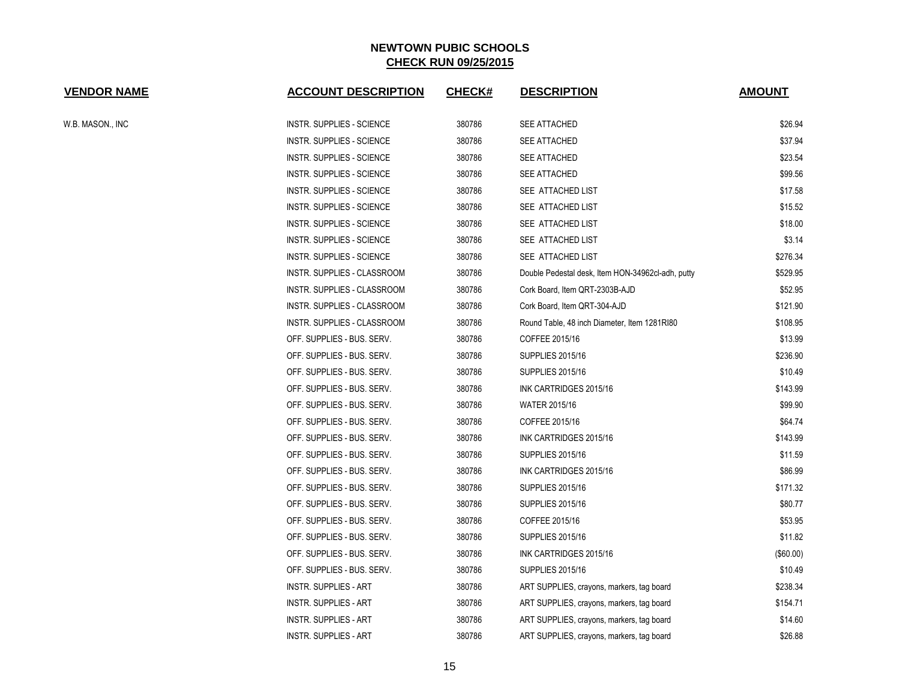| <b>VENDOR NAME</b> | <b>ACCOUNT DESCRIPTION</b>       | <b>CHECK#</b> | <b>DESCRIPTION</b>                                | <b>AMOUNT</b> |
|--------------------|----------------------------------|---------------|---------------------------------------------------|---------------|
| W.B. MASON., INC   | INSTR. SUPPLIES - SCIENCE        | 380786        | <b>SEE ATTACHED</b>                               | \$26.94       |
|                    | INSTR. SUPPLIES - SCIENCE        | 380786        | SEE ATTACHED                                      | \$37.94       |
|                    | INSTR. SUPPLIES - SCIENCE        | 380786        | SEE ATTACHED                                      | \$23.54       |
|                    | INSTR. SUPPLIES - SCIENCE        | 380786        | SEE ATTACHED                                      | \$99.56       |
|                    | INSTR. SUPPLIES - SCIENCE        | 380786        | SEE ATTACHED LIST                                 | \$17.58       |
|                    | INSTR. SUPPLIES - SCIENCE        | 380786        | SEE ATTACHED LIST                                 | \$15.52       |
|                    | INSTR. SUPPLIES - SCIENCE        | 380786        | SEE ATTACHED LIST                                 | \$18.00       |
|                    | INSTR. SUPPLIES - SCIENCE        | 380786        | SEE ATTACHED LIST                                 | \$3.14        |
|                    | <b>INSTR. SUPPLIES - SCIENCE</b> | 380786        | SEE ATTACHED LIST                                 | \$276.34      |
|                    | INSTR. SUPPLIES - CLASSROOM      | 380786        | Double Pedestal desk, Item HON-34962cl-adh, putty | \$529.95      |
|                    | INSTR. SUPPLIES - CLASSROOM      | 380786        | Cork Board, Item QRT-2303B-AJD                    | \$52.95       |
|                    | INSTR. SUPPLIES - CLASSROOM      | 380786        | Cork Board, Item QRT-304-AJD                      | \$121.90      |
|                    | INSTR. SUPPLIES - CLASSROOM      | 380786        | Round Table, 48 inch Diameter, Item 1281RI80      | \$108.95      |
|                    | OFF. SUPPLIES - BUS. SERV.       | 380786        | COFFEE 2015/16                                    | \$13.99       |
|                    | OFF. SUPPLIES - BUS. SERV.       | 380786        | <b>SUPPLIES 2015/16</b>                           | \$236.90      |
|                    | OFF. SUPPLIES - BUS. SERV.       | 380786        | <b>SUPPLIES 2015/16</b>                           | \$10.49       |
|                    | OFF. SUPPLIES - BUS. SERV.       | 380786        | INK CARTRIDGES 2015/16                            | \$143.99      |
|                    | OFF. SUPPLIES - BUS. SERV.       | 380786        | <b>WATER 2015/16</b>                              | \$99.90       |
|                    | OFF. SUPPLIES - BUS. SERV.       | 380786        | COFFEE 2015/16                                    | \$64.74       |
|                    | OFF. SUPPLIES - BUS. SERV.       | 380786        | INK CARTRIDGES 2015/16                            | \$143.99      |
|                    | OFF. SUPPLIES - BUS. SERV.       | 380786        | <b>SUPPLIES 2015/16</b>                           | \$11.59       |
|                    | OFF. SUPPLIES - BUS. SERV.       | 380786        | INK CARTRIDGES 2015/16                            | \$86.99       |
|                    | OFF. SUPPLIES - BUS. SERV.       | 380786        | <b>SUPPLIES 2015/16</b>                           | \$171.32      |
|                    | OFF. SUPPLIES - BUS. SERV.       | 380786        | <b>SUPPLIES 2015/16</b>                           | \$80.77       |
|                    | OFF. SUPPLIES - BUS. SERV.       | 380786        | COFFEE 2015/16                                    | \$53.95       |
|                    | OFF. SUPPLIES - BUS. SERV.       | 380786        | <b>SUPPLIES 2015/16</b>                           | \$11.82       |
|                    | OFF. SUPPLIES - BUS. SERV.       | 380786        | INK CARTRIDGES 2015/16                            | (\$60.00)     |
|                    | OFF. SUPPLIES - BUS. SERV.       | 380786        | <b>SUPPLIES 2015/16</b>                           | \$10.49       |
|                    | <b>INSTR. SUPPLIES - ART</b>     | 380786        | ART SUPPLIES, crayons, markers, tag board         | \$238.34      |
|                    | <b>INSTR. SUPPLIES - ART</b>     | 380786        | ART SUPPLIES, crayons, markers, tag board         | \$154.71      |
|                    | <b>INSTR. SUPPLIES - ART</b>     | 380786        | ART SUPPLIES, crayons, markers, tag board         | \$14.60       |
|                    | <b>INSTR. SUPPLIES - ART</b>     | 380786        | ART SUPPLIES, crayons, markers, tag board         | \$26.88       |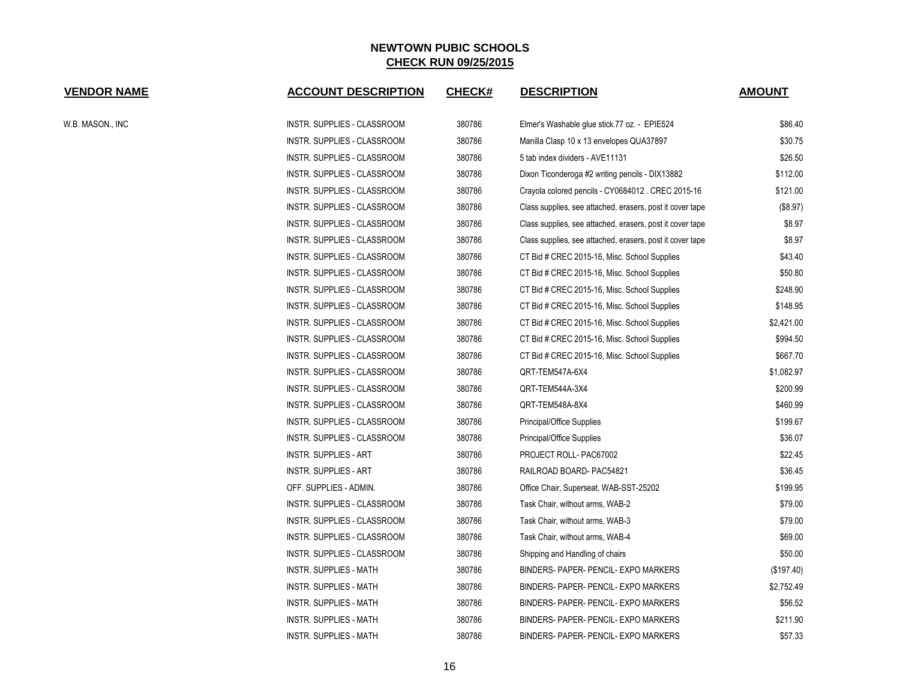| <b>VENDOR NAME</b> | <b>ACCOUNT DESCRIPTION</b>    | <b>CHECK#</b> | <b>DESCRIPTION</b>                                        | <b>AMOUNT</b> |
|--------------------|-------------------------------|---------------|-----------------------------------------------------------|---------------|
| W.B. MASON., INC   | INSTR. SUPPLIES - CLASSROOM   | 380786        | Elmer's Washable glue stick.77 oz. - EPIE524              | \$86.40       |
|                    | INSTR. SUPPLIES - CLASSROOM   | 380786        | Manilla Clasp 10 x 13 envelopes QUA37897                  | \$30.75       |
|                    | INSTR. SUPPLIES - CLASSROOM   | 380786        | 5 tab index dividers - AVE11131                           | \$26.50       |
|                    | INSTR. SUPPLIES - CLASSROOM   | 380786        | Dixon Ticonderoga #2 writing pencils - DIX13882           | \$112.00      |
|                    | INSTR. SUPPLIES - CLASSROOM   | 380786        | Crayola colored pencils - CY0684012. CREC 2015-16         | \$121.00      |
|                    | INSTR. SUPPLIES - CLASSROOM   | 380786        | Class supplies, see attached, erasers, post it cover tape | (\$8.97)      |
|                    | INSTR. SUPPLIES - CLASSROOM   | 380786        | Class supplies, see attached, erasers, post it cover tape | \$8.97        |
|                    | INSTR. SUPPLIES - CLASSROOM   | 380786        | Class supplies, see attached, erasers, post it cover tape | \$8.97        |
|                    | INSTR. SUPPLIES - CLASSROOM   | 380786        | CT Bid # CREC 2015-16, Misc. School Supplies              | \$43.40       |
|                    | INSTR. SUPPLIES - CLASSROOM   | 380786        | CT Bid # CREC 2015-16, Misc. School Supplies              | \$50.80       |
|                    | INSTR. SUPPLIES - CLASSROOM   | 380786        | CT Bid # CREC 2015-16, Misc. School Supplies              | \$248.90      |
|                    | INSTR. SUPPLIES - CLASSROOM   | 380786        | CT Bid # CREC 2015-16, Misc. School Supplies              | \$148.95      |
|                    | INSTR. SUPPLIES - CLASSROOM   | 380786        | CT Bid # CREC 2015-16, Misc. School Supplies              | \$2,421.00    |
|                    | INSTR. SUPPLIES - CLASSROOM   | 380786        | CT Bid # CREC 2015-16, Misc. School Supplies              | \$994.50      |
|                    | INSTR. SUPPLIES - CLASSROOM   | 380786        | CT Bid # CREC 2015-16, Misc. School Supplies              | \$667.70      |
|                    | INSTR. SUPPLIES - CLASSROOM   | 380786        | QRT-TEM547A-6X4                                           | \$1,082.97    |
|                    | INSTR. SUPPLIES - CLASSROOM   | 380786        | QRT-TEM544A-3X4                                           | \$200.99      |
|                    | INSTR. SUPPLIES - CLASSROOM   | 380786        | QRT-TEM548A-8X4                                           | \$460.99      |
|                    | INSTR. SUPPLIES - CLASSROOM   | 380786        | Principal/Office Supplies                                 | \$199.67      |
|                    | INSTR. SUPPLIES - CLASSROOM   | 380786        | Principal/Office Supplies                                 | \$36.07       |
|                    | <b>INSTR. SUPPLIES - ART</b>  | 380786        | PROJECT ROLL-PAC67002                                     | \$22.45       |
|                    | <b>INSTR. SUPPLIES - ART</b>  | 380786        | RAILROAD BOARD- PAC54821                                  | \$36.45       |
|                    | OFF. SUPPLIES - ADMIN.        | 380786        | Office Chair, Superseat, WAB-SST-25202                    | \$199.95      |
|                    | INSTR. SUPPLIES - CLASSROOM   | 380786        | Task Chair, without arms, WAB-2                           | \$79.00       |
|                    | INSTR. SUPPLIES - CLASSROOM   | 380786        | Task Chair, without arms, WAB-3                           | \$79.00       |
|                    | INSTR. SUPPLIES - CLASSROOM   | 380786        | Task Chair, without arms, WAB-4                           | \$69.00       |
|                    | INSTR. SUPPLIES - CLASSROOM   | 380786        | Shipping and Handling of chairs                           | \$50.00       |
|                    | <b>INSTR. SUPPLIES - MATH</b> | 380786        | BINDERS- PAPER- PENCIL- EXPO MARKERS                      | (\$197.40)    |
|                    | <b>INSTR. SUPPLIES - MATH</b> | 380786        | BINDERS- PAPER- PENCIL- EXPO MARKERS                      | \$2,752.49    |
|                    | <b>INSTR. SUPPLIES - MATH</b> | 380786        | BINDERS- PAPER- PENCIL- EXPO MARKERS                      | \$56.52       |
|                    | <b>INSTR. SUPPLIES - MATH</b> | 380786        | BINDERS- PAPER- PENCIL- EXPO MARKERS                      | \$211.90      |
|                    | INSTR. SUPPLIES - MATH        | 380786        | BINDERS- PAPER- PENCIL- EXPO MARKERS                      | \$57.33       |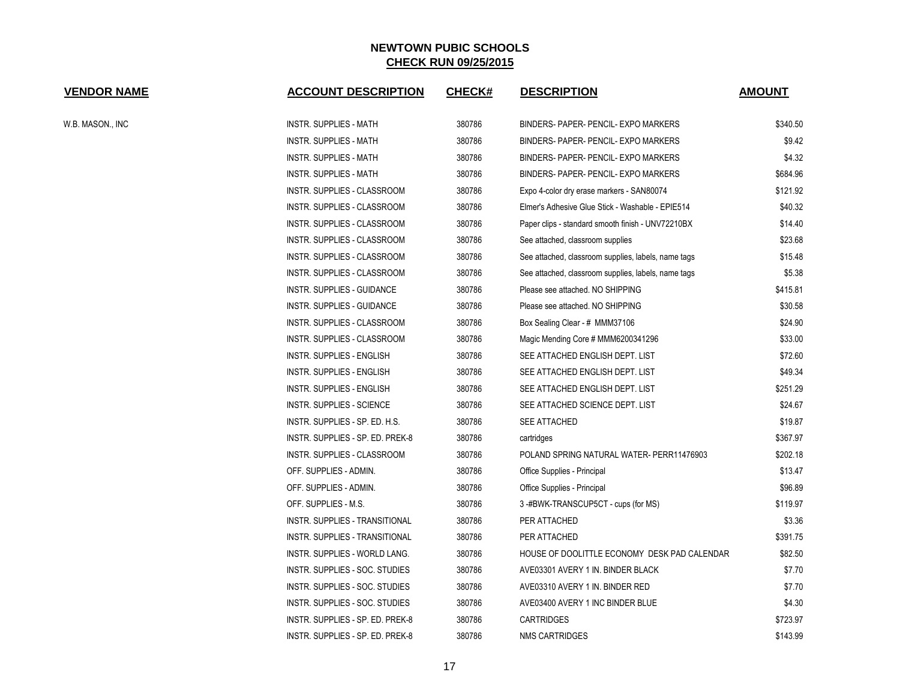| <b>VENDOR NAME</b> | <b>ACCOUNT DESCRIPTION</b>         | <b>CHECK#</b> | <b>DESCRIPTION</b>                                  | <b>AMOUNT</b> |
|--------------------|------------------------------------|---------------|-----------------------------------------------------|---------------|
| W.B. MASON., INC   | INSTR. SUPPLIES - MATH             | 380786        | BINDERS- PAPER- PENCIL- EXPO MARKERS                | \$340.50      |
|                    | INSTR. SUPPLIES - MATH             | 380786        | BINDERS- PAPER- PENCIL- EXPO MARKERS                | \$9.42        |
|                    | <b>INSTR. SUPPLIES - MATH</b>      | 380786        | BINDERS- PAPER- PENCIL- EXPO MARKERS                | \$4.32        |
|                    | <b>INSTR. SUPPLIES - MATH</b>      | 380786        | BINDERS- PAPER- PENCIL- EXPO MARKERS                | \$684.96      |
|                    | INSTR. SUPPLIES - CLASSROOM        | 380786        | Expo 4-color dry erase markers - SAN80074           | \$121.92      |
|                    | <b>INSTR. SUPPLIES - CLASSROOM</b> | 380786        | Elmer's Adhesive Glue Stick - Washable - EPIE514    | \$40.32       |
|                    | INSTR. SUPPLIES - CLASSROOM        | 380786        | Paper clips - standard smooth finish - UNV72210BX   | \$14.40       |
|                    | INSTR. SUPPLIES - CLASSROOM        | 380786        | See attached, classroom supplies                    | \$23.68       |
|                    | INSTR. SUPPLIES - CLASSROOM        | 380786        | See attached, classroom supplies, labels, name tags | \$15.48       |
|                    | INSTR. SUPPLIES - CLASSROOM        | 380786        | See attached, classroom supplies, labels, name tags | \$5.38        |
|                    | INSTR. SUPPLIES - GUIDANCE         | 380786        | Please see attached. NO SHIPPING                    | \$415.81      |
|                    | INSTR. SUPPLIES - GUIDANCE         | 380786        | Please see attached. NO SHIPPING                    | \$30.58       |
|                    | INSTR. SUPPLIES - CLASSROOM        | 380786        | Box Sealing Clear - # MMM37106                      | \$24.90       |
|                    | INSTR. SUPPLIES - CLASSROOM        | 380786        | Magic Mending Core # MMM6200341296                  | \$33.00       |
|                    | <b>INSTR. SUPPLIES - ENGLISH</b>   | 380786        | SEE ATTACHED ENGLISH DEPT. LIST                     | \$72.60       |
|                    | <b>INSTR. SUPPLIES - ENGLISH</b>   | 380786        | SEE ATTACHED ENGLISH DEPT. LIST                     | \$49.34       |
|                    | INSTR. SUPPLIES - ENGLISH          | 380786        | SEE ATTACHED ENGLISH DEPT. LIST                     | \$251.29      |
|                    | INSTR. SUPPLIES - SCIENCE          | 380786        | SEE ATTACHED SCIENCE DEPT. LIST                     | \$24.67       |
|                    | INSTR. SUPPLIES - SP. ED. H.S.     | 380786        | <b>SEE ATTACHED</b>                                 | \$19.87       |
|                    | INSTR. SUPPLIES - SP. ED. PREK-8   | 380786        | cartridges                                          | \$367.97      |
|                    | INSTR. SUPPLIES - CLASSROOM        | 380786        | POLAND SPRING NATURAL WATER- PERR11476903           | \$202.18      |
|                    | OFF. SUPPLIES - ADMIN.             | 380786        | Office Supplies - Principal                         | \$13.47       |
|                    | OFF. SUPPLIES - ADMIN.             | 380786        | Office Supplies - Principal                         | \$96.89       |
|                    | OFF. SUPPLIES - M.S.               | 380786        | 3-#BWK-TRANSCUP5CT - cups (for MS)                  | \$119.97      |
|                    | INSTR. SUPPLIES - TRANSITIONAL     | 380786        | PER ATTACHED                                        | \$3.36        |
|                    | INSTR. SUPPLIES - TRANSITIONAL     | 380786        | PER ATTACHED                                        | \$391.75      |
|                    | INSTR. SUPPLIES - WORLD LANG.      | 380786        | HOUSE OF DOOLITTLE ECONOMY DESK PAD CALENDAR        | \$82.50       |
|                    | INSTR. SUPPLIES - SOC. STUDIES     | 380786        | AVE03301 AVERY 1 IN. BINDER BLACK                   | \$7.70        |
|                    | INSTR. SUPPLIES - SOC. STUDIES     | 380786        | AVE03310 AVERY 1 IN. BINDER RED                     | \$7.70        |
|                    | INSTR. SUPPLIES - SOC. STUDIES     | 380786        | AVE03400 AVERY 1 INC BINDER BLUE                    | \$4.30        |
|                    | INSTR. SUPPLIES - SP. ED. PREK-8   | 380786        | <b>CARTRIDGES</b>                                   | \$723.97      |
|                    | INSTR. SUPPLIES - SP. ED. PREK-8   | 380786        | <b>NMS CARTRIDGES</b>                               | \$143.99      |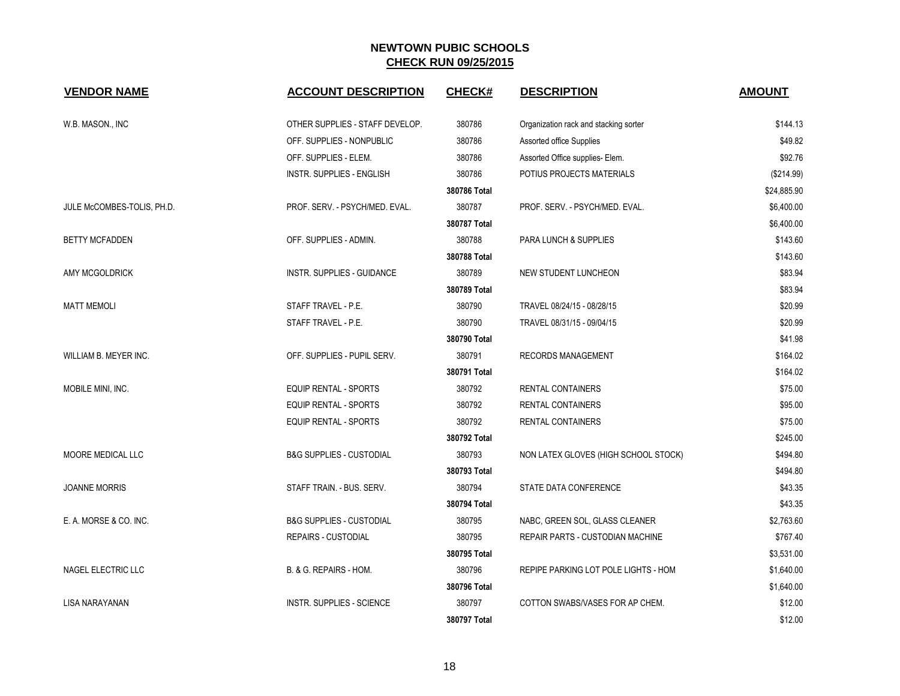| <b>VENDOR NAME</b>         | <b>ACCOUNT DESCRIPTION</b>          | <b>CHECK#</b> | <b>DESCRIPTION</b>                    | <b>AMOUNT</b> |
|----------------------------|-------------------------------------|---------------|---------------------------------------|---------------|
|                            |                                     |               |                                       |               |
| W.B. MASON., INC           | OTHER SUPPLIES - STAFF DEVELOP.     | 380786        | Organization rack and stacking sorter | \$144.13      |
|                            | OFF. SUPPLIES - NONPUBLIC           | 380786        | Assorted office Supplies              | \$49.82       |
|                            | OFF. SUPPLIES - ELEM.               | 380786        | Assorted Office supplies- Elem.       | \$92.76       |
|                            | <b>INSTR. SUPPLIES - ENGLISH</b>    | 380786        | POTIUS PROJECTS MATERIALS             | (\$214.99)    |
|                            |                                     | 380786 Total  |                                       | \$24,885.90   |
| JULE McCOMBES-TOLIS, PH.D. | PROF. SERV. - PSYCH/MED. EVAL.      | 380787        | PROF. SERV. - PSYCH/MED. EVAL.        | \$6,400.00    |
|                            |                                     | 380787 Total  |                                       | \$6,400.00    |
| <b>BETTY MCFADDEN</b>      | OFF. SUPPLIES - ADMIN.              | 380788        | PARA LUNCH & SUPPLIES                 | \$143.60      |
|                            |                                     | 380788 Total  |                                       | \$143.60      |
| AMY MCGOLDRICK             | <b>INSTR. SUPPLIES - GUIDANCE</b>   | 380789        | NEW STUDENT LUNCHEON                  | \$83.94       |
|                            |                                     | 380789 Total  |                                       | \$83.94       |
| <b>MATT MEMOLI</b>         | STAFF TRAVEL - P.E.                 | 380790        | TRAVEL 08/24/15 - 08/28/15            | \$20.99       |
|                            | STAFF TRAVEL - P.E.                 | 380790        | TRAVEL 08/31/15 - 09/04/15            | \$20.99       |
|                            |                                     | 380790 Total  |                                       | \$41.98       |
| WILLIAM B. MEYER INC.      | OFF. SUPPLIES - PUPIL SERV.         | 380791        | <b>RECORDS MANAGEMENT</b>             | \$164.02      |
|                            |                                     | 380791 Total  |                                       | \$164.02      |
| MOBILE MINI, INC.          | <b>EQUIP RENTAL - SPORTS</b>        | 380792        | <b>RENTAL CONTAINERS</b>              | \$75.00       |
|                            | <b>EQUIP RENTAL - SPORTS</b>        | 380792        | <b>RENTAL CONTAINERS</b>              | \$95.00       |
|                            | <b>EQUIP RENTAL - SPORTS</b>        | 380792        | <b>RENTAL CONTAINERS</b>              | \$75.00       |
|                            |                                     | 380792 Total  |                                       | \$245.00      |
| MOORE MEDICAL LLC          | <b>B&amp;G SUPPLIES - CUSTODIAL</b> | 380793        | NON LATEX GLOVES (HIGH SCHOOL STOCK)  | \$494.80      |
|                            |                                     | 380793 Total  |                                       | \$494.80      |
| <b>JOANNE MORRIS</b>       | STAFF TRAIN. - BUS. SERV.           | 380794        | STATE DATA CONFERENCE                 | \$43.35       |
|                            |                                     | 380794 Total  |                                       | \$43.35       |
| E. A. MORSE & CO. INC.     | <b>B&amp;G SUPPLIES - CUSTODIAL</b> | 380795        | NABC, GREEN SOL, GLASS CLEANER        | \$2,763.60    |
|                            | <b>REPAIRS - CUSTODIAL</b>          | 380795        | REPAIR PARTS - CUSTODIAN MACHINE      | \$767.40      |
|                            |                                     | 380795 Total  |                                       | \$3,531.00    |
| NAGEL ELECTRIC LLC         | B. & G. REPAIRS - HOM.              | 380796        | REPIPE PARKING LOT POLE LIGHTS - HOM  | \$1,640.00    |
|                            |                                     | 380796 Total  |                                       | \$1,640.00    |
| LISA NARAYANAN             | INSTR. SUPPLIES - SCIENCE           | 380797        | COTTON SWABS/VASES FOR AP CHEM.       | \$12.00       |
|                            |                                     | 380797 Total  |                                       | \$12.00       |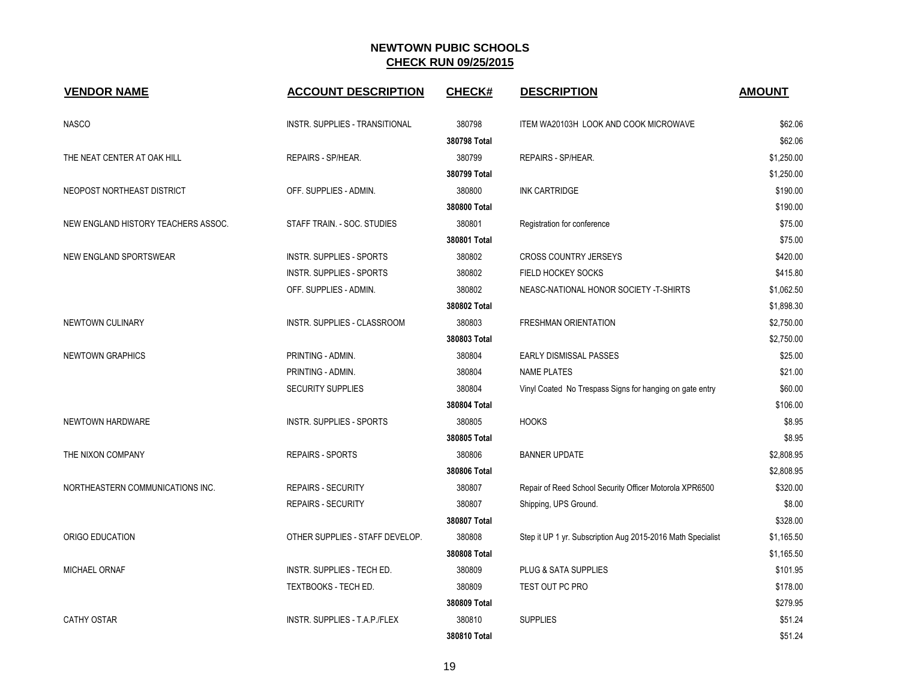| <b>VENDOR NAME</b>                  | <b>ACCOUNT DESCRIPTION</b>      | <b>CHECK#</b> | <b>DESCRIPTION</b>                                          | <b>AMOUNT</b> |
|-------------------------------------|---------------------------------|---------------|-------------------------------------------------------------|---------------|
| <b>NASCO</b>                        | INSTR. SUPPLIES - TRANSITIONAL  | 380798        | ITEM WA20103H LOOK AND COOK MICROWAVE                       | \$62.06       |
|                                     |                                 | 380798 Total  |                                                             | \$62.06       |
| THE NEAT CENTER AT OAK HILL         | REPAIRS - SP/HEAR.              | 380799        | REPAIRS - SP/HEAR.                                          | \$1,250.00    |
|                                     |                                 | 380799 Total  |                                                             | \$1,250.00    |
| NEOPOST NORTHEAST DISTRICT          | OFF. SUPPLIES - ADMIN.          | 380800        | <b>INK CARTRIDGE</b>                                        | \$190.00      |
|                                     |                                 | 380800 Total  |                                                             | \$190.00      |
| NEW ENGLAND HISTORY TEACHERS ASSOC. | STAFF TRAIN. - SOC. STUDIES     | 380801        | Registration for conference                                 | \$75.00       |
|                                     |                                 | 380801 Total  |                                                             | \$75.00       |
| NEW ENGLAND SPORTSWEAR              | INSTR. SUPPLIES - SPORTS        | 380802        | <b>CROSS COUNTRY JERSEYS</b>                                | \$420.00      |
|                                     | <b>INSTR. SUPPLIES - SPORTS</b> | 380802        | <b>FIELD HOCKEY SOCKS</b>                                   | \$415.80      |
|                                     | OFF. SUPPLIES - ADMIN.          | 380802        | NEASC-NATIONAL HONOR SOCIETY -T-SHIRTS                      | \$1,062.50    |
|                                     |                                 | 380802 Total  |                                                             | \$1,898.30    |
| NEWTOWN CULINARY                    | INSTR. SUPPLIES - CLASSROOM     | 380803        | <b>FRESHMAN ORIENTATION</b>                                 | \$2,750.00    |
|                                     |                                 | 380803 Total  |                                                             | \$2,750.00    |
| <b>NEWTOWN GRAPHICS</b>             | PRINTING - ADMIN.               | 380804        | <b>EARLY DISMISSAL PASSES</b>                               | \$25.00       |
|                                     | PRINTING - ADMIN.               | 380804        | <b>NAME PLATES</b>                                          | \$21.00       |
|                                     | <b>SECURITY SUPPLIES</b>        | 380804        | Vinyl Coated No Trespass Signs for hanging on gate entry    | \$60.00       |
|                                     |                                 | 380804 Total  |                                                             | \$106.00      |
| NEWTOWN HARDWARE                    | <b>INSTR. SUPPLIES - SPORTS</b> | 380805        | <b>HOOKS</b>                                                | \$8.95        |
|                                     |                                 | 380805 Total  |                                                             | \$8.95        |
| THE NIXON COMPANY                   | <b>REPAIRS - SPORTS</b>         | 380806        | <b>BANNER UPDATE</b>                                        | \$2,808.95    |
|                                     |                                 | 380806 Total  |                                                             | \$2,808.95    |
| NORTHEASTERN COMMUNICATIONS INC.    | <b>REPAIRS - SECURITY</b>       | 380807        | Repair of Reed School Security Officer Motorola XPR6500     | \$320.00      |
|                                     | <b>REPAIRS - SECURITY</b>       | 380807        | Shipping, UPS Ground.                                       | \$8.00        |
|                                     |                                 | 380807 Total  |                                                             | \$328.00      |
| ORIGO EDUCATION                     | OTHER SUPPLIES - STAFF DEVELOP. | 380808        | Step it UP 1 yr. Subscription Aug 2015-2016 Math Specialist | \$1,165.50    |
|                                     |                                 | 380808 Total  |                                                             | \$1,165.50    |
| MICHAEL ORNAF                       | INSTR. SUPPLIES - TECH ED.      | 380809        | PLUG & SATA SUPPLIES                                        | \$101.95      |
|                                     | TEXTBOOKS - TECH ED.            | 380809        | TEST OUT PC PRO                                             | \$178.00      |
|                                     |                                 | 380809 Total  |                                                             | \$279.95      |
| <b>CATHY OSTAR</b>                  | INSTR. SUPPLIES - T.A.P./FLEX   | 380810        | <b>SUPPLIES</b>                                             | \$51.24       |
|                                     |                                 | 380810 Total  |                                                             | \$51.24       |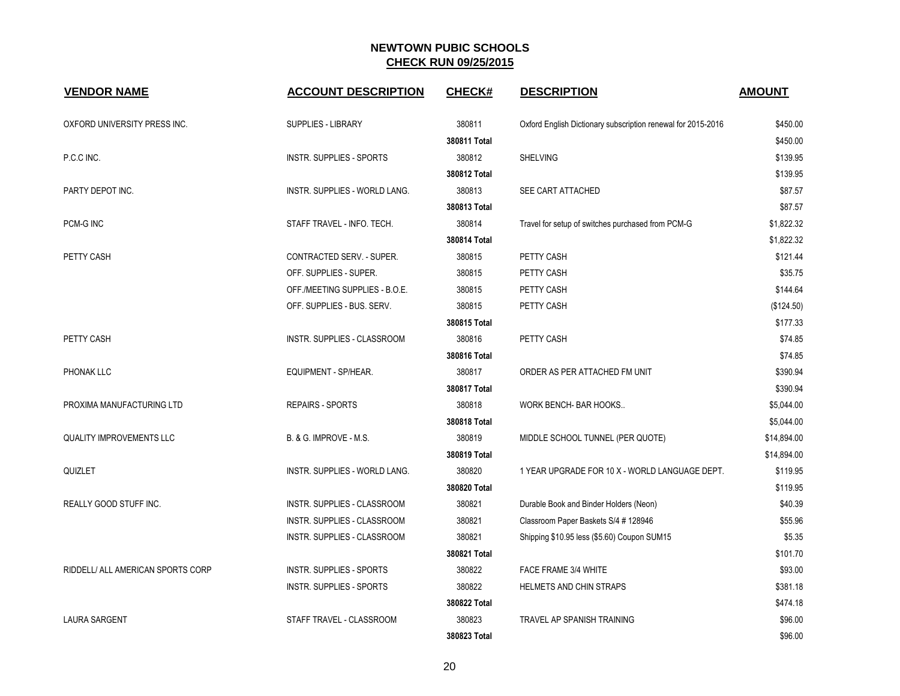| <b>VENDOR NAME</b>                | <b>ACCOUNT DESCRIPTION</b>           | <b>CHECK#</b> | <b>DESCRIPTION</b>                                           | <b>AMOUNT</b> |
|-----------------------------------|--------------------------------------|---------------|--------------------------------------------------------------|---------------|
| OXFORD UNIVERSITY PRESS INC.      | <b>SUPPLIES - LIBRARY</b>            | 380811        | Oxford English Dictionary subscription renewal for 2015-2016 | \$450.00      |
|                                   |                                      | 380811 Total  |                                                              | \$450.00      |
| P.C.C INC.                        | <b>INSTR. SUPPLIES - SPORTS</b>      | 380812        | <b>SHELVING</b>                                              | \$139.95      |
|                                   |                                      | 380812 Total  |                                                              | \$139.95      |
| PARTY DEPOT INC.                  | <b>INSTR. SUPPLIES - WORLD LANG.</b> | 380813        | <b>SEE CART ATTACHED</b>                                     | \$87.57       |
|                                   |                                      | 380813 Total  |                                                              | \$87.57       |
| PCM-G INC                         | STAFF TRAVEL - INFO. TECH.           | 380814        | Travel for setup of switches purchased from PCM-G            | \$1,822.32    |
|                                   |                                      | 380814 Total  |                                                              | \$1,822.32    |
| PETTY CASH                        | CONTRACTED SERV. - SUPER.            | 380815        | PETTY CASH                                                   | \$121.44      |
|                                   | OFF. SUPPLIES - SUPER.               | 380815        | PETTY CASH                                                   | \$35.75       |
|                                   | OFF./MEETING SUPPLIES - B.O.E.       | 380815        | PETTY CASH                                                   | \$144.64      |
|                                   | OFF. SUPPLIES - BUS. SERV.           | 380815        | PETTY CASH                                                   | (\$124.50)    |
|                                   |                                      | 380815 Total  |                                                              | \$177.33      |
| PETTY CASH                        | INSTR. SUPPLIES - CLASSROOM          | 380816        | PETTY CASH                                                   | \$74.85       |
|                                   |                                      | 380816 Total  |                                                              | \$74.85       |
| PHONAK LLC                        | EQUIPMENT - SP/HEAR.                 | 380817        | ORDER AS PER ATTACHED FM UNIT                                | \$390.94      |
|                                   |                                      | 380817 Total  |                                                              | \$390.94      |
| PROXIMA MANUFACTURING LTD         | <b>REPAIRS - SPORTS</b>              | 380818        | WORK BENCH- BAR HOOKS                                        | \$5,044.00    |
|                                   |                                      | 380818 Total  |                                                              | \$5,044.00    |
| <b>QUALITY IMPROVEMENTS LLC</b>   | B. & G. IMPROVE - M.S.               | 380819        | MIDDLE SCHOOL TUNNEL (PER QUOTE)                             | \$14,894.00   |
|                                   |                                      | 380819 Total  |                                                              | \$14,894.00   |
| QUIZLET                           | INSTR. SUPPLIES - WORLD LANG.        | 380820        | 1 YEAR UPGRADE FOR 10 X - WORLD LANGUAGE DEPT.               | \$119.95      |
|                                   |                                      | 380820 Total  |                                                              | \$119.95      |
| REALLY GOOD STUFF INC.            | INSTR. SUPPLIES - CLASSROOM          | 380821        | Durable Book and Binder Holders (Neon)                       | \$40.39       |
|                                   | INSTR. SUPPLIES - CLASSROOM          | 380821        | Classroom Paper Baskets S/4 # 128946                         | \$55.96       |
|                                   | INSTR. SUPPLIES - CLASSROOM          | 380821        | Shipping \$10.95 less (\$5.60) Coupon SUM15                  | \$5.35        |
|                                   |                                      | 380821 Total  |                                                              | \$101.70      |
| RIDDELL/ ALL AMERICAN SPORTS CORP | <b>INSTR. SUPPLIES - SPORTS</b>      | 380822        | FACE FRAME 3/4 WHITE                                         | \$93.00       |
|                                   | <b>INSTR. SUPPLIES - SPORTS</b>      | 380822        | HELMETS AND CHIN STRAPS                                      | \$381.18      |
|                                   |                                      | 380822 Total  |                                                              | \$474.18      |
| <b>LAURA SARGENT</b>              | STAFF TRAVEL - CLASSROOM             | 380823        | <b>TRAVEL AP SPANISH TRAINING</b>                            | \$96.00       |
|                                   |                                      | 380823 Total  |                                                              | \$96.00       |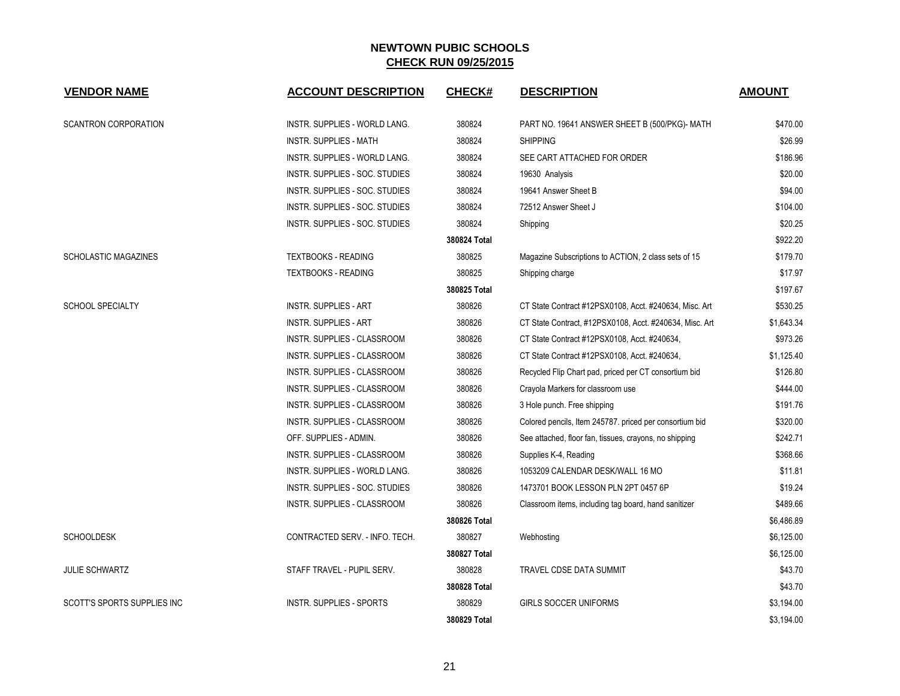| <b>VENDOR NAME</b>          | <b>ACCOUNT DESCRIPTION</b>           | <b>CHECK#</b> | <b>DESCRIPTION</b>                                      | <b>AMOUNT</b> |
|-----------------------------|--------------------------------------|---------------|---------------------------------------------------------|---------------|
| SCANTRON CORPORATION        | <b>INSTR. SUPPLIES - WORLD LANG.</b> | 380824        | PART NO. 19641 ANSWER SHEET B (500/PKG)- MATH           | \$470.00      |
|                             | <b>INSTR. SUPPLIES - MATH</b>        | 380824        | <b>SHIPPING</b>                                         | \$26.99       |
|                             | <b>INSTR. SUPPLIES - WORLD LANG.</b> | 380824        | SEE CART ATTACHED FOR ORDER                             | \$186.96      |
|                             | INSTR. SUPPLIES - SOC. STUDIES       | 380824        | 19630 Analysis                                          | \$20.00       |
|                             | INSTR. SUPPLIES - SOC. STUDIES       | 380824        | 19641 Answer Sheet B                                    | \$94.00       |
|                             | INSTR. SUPPLIES - SOC. STUDIES       | 380824        | 72512 Answer Sheet J                                    | \$104.00      |
|                             | INSTR. SUPPLIES - SOC. STUDIES       | 380824        | Shipping                                                | \$20.25       |
|                             |                                      | 380824 Total  |                                                         | \$922.20      |
| <b>SCHOLASTIC MAGAZINES</b> | <b>TEXTBOOKS - READING</b>           | 380825        | Magazine Subscriptions to ACTION, 2 class sets of 15    | \$179.70      |
|                             | <b>TEXTBOOKS - READING</b>           | 380825        | Shipping charge                                         | \$17.97       |
|                             |                                      | 380825 Total  |                                                         | \$197.67      |
| <b>SCHOOL SPECIALTY</b>     | INSTR. SUPPLIES - ART                | 380826        | CT State Contract #12PSX0108, Acct. #240634, Misc. Art  | \$530.25      |
|                             | INSTR. SUPPLIES - ART                | 380826        | CT State Contract, #12PSX0108, Acct. #240634, Misc. Art | \$1,643.34    |
|                             | INSTR. SUPPLIES - CLASSROOM          | 380826        | CT State Contract #12PSX0108, Acct. #240634,            | \$973.26      |
|                             | INSTR. SUPPLIES - CLASSROOM          | 380826        | CT State Contract #12PSX0108, Acct. #240634,            | \$1,125.40    |
|                             | INSTR. SUPPLIES - CLASSROOM          | 380826        | Recycled Flip Chart pad, priced per CT consortium bid   | \$126.80      |
|                             | INSTR. SUPPLIES - CLASSROOM          | 380826        | Crayola Markers for classroom use                       | \$444.00      |
|                             | INSTR. SUPPLIES - CLASSROOM          | 380826        | 3 Hole punch. Free shipping                             | \$191.76      |
|                             | <b>INSTR. SUPPLIES - CLASSROOM</b>   | 380826        | Colored pencils, Item 245787. priced per consortium bid | \$320.00      |
|                             | OFF. SUPPLIES - ADMIN.               | 380826        | See attached, floor fan, tissues, crayons, no shipping  | \$242.71      |
|                             | INSTR. SUPPLIES - CLASSROOM          | 380826        | Supplies K-4, Reading                                   | \$368.66      |
|                             | INSTR. SUPPLIES - WORLD LANG.        | 380826        | 1053209 CALENDAR DESK/WALL 16 MO                        | \$11.81       |
|                             | INSTR. SUPPLIES - SOC. STUDIES       | 380826        | 1473701 BOOK LESSON PLN 2PT 0457 6P                     | \$19.24       |
|                             | INSTR. SUPPLIES - CLASSROOM          | 380826        | Classroom items, including tag board, hand sanitizer    | \$489.66      |
|                             |                                      | 380826 Total  |                                                         | \$6,486.89    |
| <b>SCHOOLDESK</b>           | CONTRACTED SERV. - INFO. TECH.       | 380827        | Webhosting                                              | \$6,125.00    |
|                             |                                      | 380827 Total  |                                                         | \$6,125.00    |
| <b>JULIE SCHWARTZ</b>       | STAFF TRAVEL - PUPIL SERV.           | 380828        | TRAVEL CDSE DATA SUMMIT                                 | \$43.70       |
|                             |                                      | 380828 Total  |                                                         | \$43.70       |
| SCOTT'S SPORTS SUPPLIES INC | <b>INSTR. SUPPLIES - SPORTS</b>      | 380829        | <b>GIRLS SOCCER UNIFORMS</b>                            | \$3,194.00    |
|                             |                                      | 380829 Total  |                                                         | \$3,194.00    |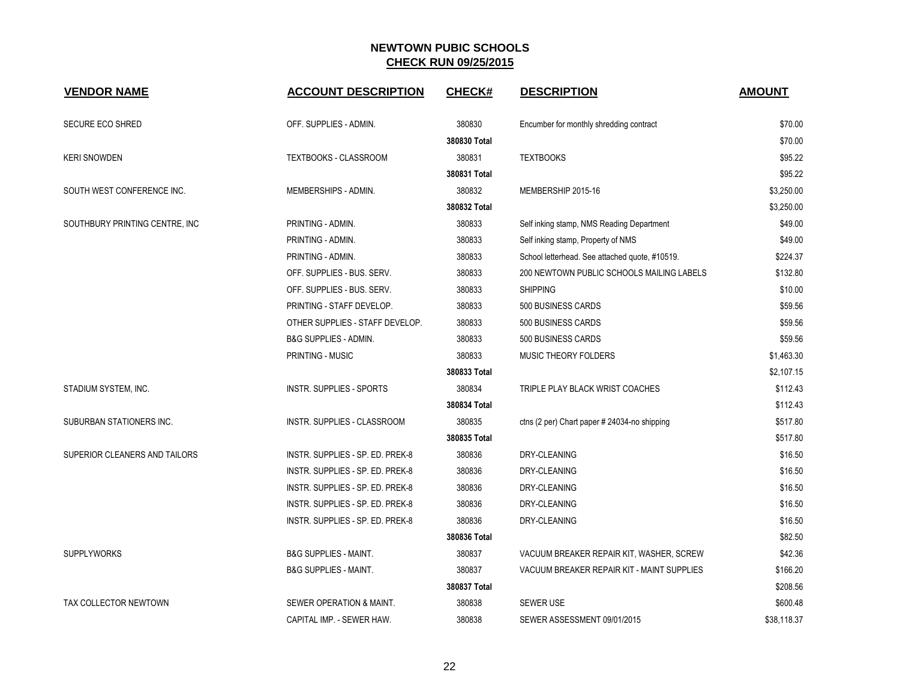| <b>VENDOR NAME</b>             | <b>ACCOUNT DESCRIPTION</b>       | <b>CHECK#</b> | <b>DESCRIPTION</b>                             | <b>AMOUNT</b> |
|--------------------------------|----------------------------------|---------------|------------------------------------------------|---------------|
| <b>SECURE ECO SHRED</b>        | OFF. SUPPLIES - ADMIN.           | 380830        | Encumber for monthly shredding contract        | \$70.00       |
|                                |                                  | 380830 Total  |                                                | \$70.00       |
| <b>KERI SNOWDEN</b>            | <b>TEXTBOOKS - CLASSROOM</b>     | 380831        | <b>TEXTBOOKS</b>                               | \$95.22       |
|                                |                                  | 380831 Total  |                                                | \$95.22       |
| SOUTH WEST CONFERENCE INC.     | MEMBERSHIPS - ADMIN.             | 380832        | MEMBERSHIP 2015-16                             | \$3,250.00    |
|                                |                                  | 380832 Total  |                                                | \$3,250.00    |
| SOUTHBURY PRINTING CENTRE, INC | PRINTING - ADMIN.                | 380833        | Self inking stamp, NMS Reading Department      | \$49.00       |
|                                | PRINTING - ADMIN.                | 380833        | Self inking stamp, Property of NMS             | \$49.00       |
|                                | PRINTING - ADMIN.                | 380833        | School letterhead. See attached quote, #10519. | \$224.37      |
|                                | OFF. SUPPLIES - BUS. SERV.       | 380833        | 200 NEWTOWN PUBLIC SCHOOLS MAILING LABELS      | \$132.80      |
|                                | OFF. SUPPLIES - BUS. SERV.       | 380833        | <b>SHIPPING</b>                                | \$10.00       |
|                                | PRINTING - STAFF DEVELOP.        | 380833        | 500 BUSINESS CARDS                             | \$59.56       |
|                                | OTHER SUPPLIES - STAFF DEVELOP.  | 380833        | 500 BUSINESS CARDS                             | \$59.56       |
|                                | <b>B&amp;G SUPPLIES - ADMIN.</b> | 380833        | 500 BUSINESS CARDS                             | \$59.56       |
|                                | PRINTING - MUSIC                 | 380833        | MUSIC THEORY FOLDERS                           | \$1,463.30    |
|                                |                                  | 380833 Total  |                                                | \$2,107.15    |
| STADIUM SYSTEM, INC.           | <b>INSTR. SUPPLIES - SPORTS</b>  | 380834        | TRIPLE PLAY BLACK WRIST COACHES                | \$112.43      |
|                                |                                  | 380834 Total  |                                                | \$112.43      |
| SUBURBAN STATIONERS INC.       | INSTR. SUPPLIES - CLASSROOM      | 380835        | ctns (2 per) Chart paper # 24034-no shipping   | \$517.80      |
|                                |                                  | 380835 Total  |                                                | \$517.80      |
| SUPERIOR CLEANERS AND TAILORS  | INSTR. SUPPLIES - SP. ED. PREK-8 | 380836        | DRY-CLEANING                                   | \$16.50       |
|                                | INSTR. SUPPLIES - SP. ED. PREK-8 | 380836        | DRY-CLEANING                                   | \$16.50       |
|                                | INSTR. SUPPLIES - SP. ED. PREK-8 | 380836        | DRY-CLEANING                                   | \$16.50       |
|                                | INSTR. SUPPLIES - SP. ED. PREK-8 | 380836        | DRY-CLEANING                                   | \$16.50       |
|                                | INSTR. SUPPLIES - SP. ED. PREK-8 | 380836        | DRY-CLEANING                                   | \$16.50       |
|                                |                                  | 380836 Total  |                                                | \$82.50       |
| <b>SUPPLYWORKS</b>             | <b>B&amp;G SUPPLIES - MAINT.</b> | 380837        | VACUUM BREAKER REPAIR KIT, WASHER, SCREW       | \$42.36       |
|                                | <b>B&amp;G SUPPLIES - MAINT.</b> | 380837        | VACUUM BREAKER REPAIR KIT - MAINT SUPPLIES     | \$166.20      |
|                                |                                  | 380837 Total  |                                                | \$208.56      |
| TAX COLLECTOR NEWTOWN          | SEWER OPERATION & MAINT.         | 380838        | <b>SEWER USE</b>                               | \$600.48      |
|                                | CAPITAL IMP. - SEWER HAW.        | 380838        | SEWER ASSESSMENT 09/01/2015                    | \$38.118.37   |